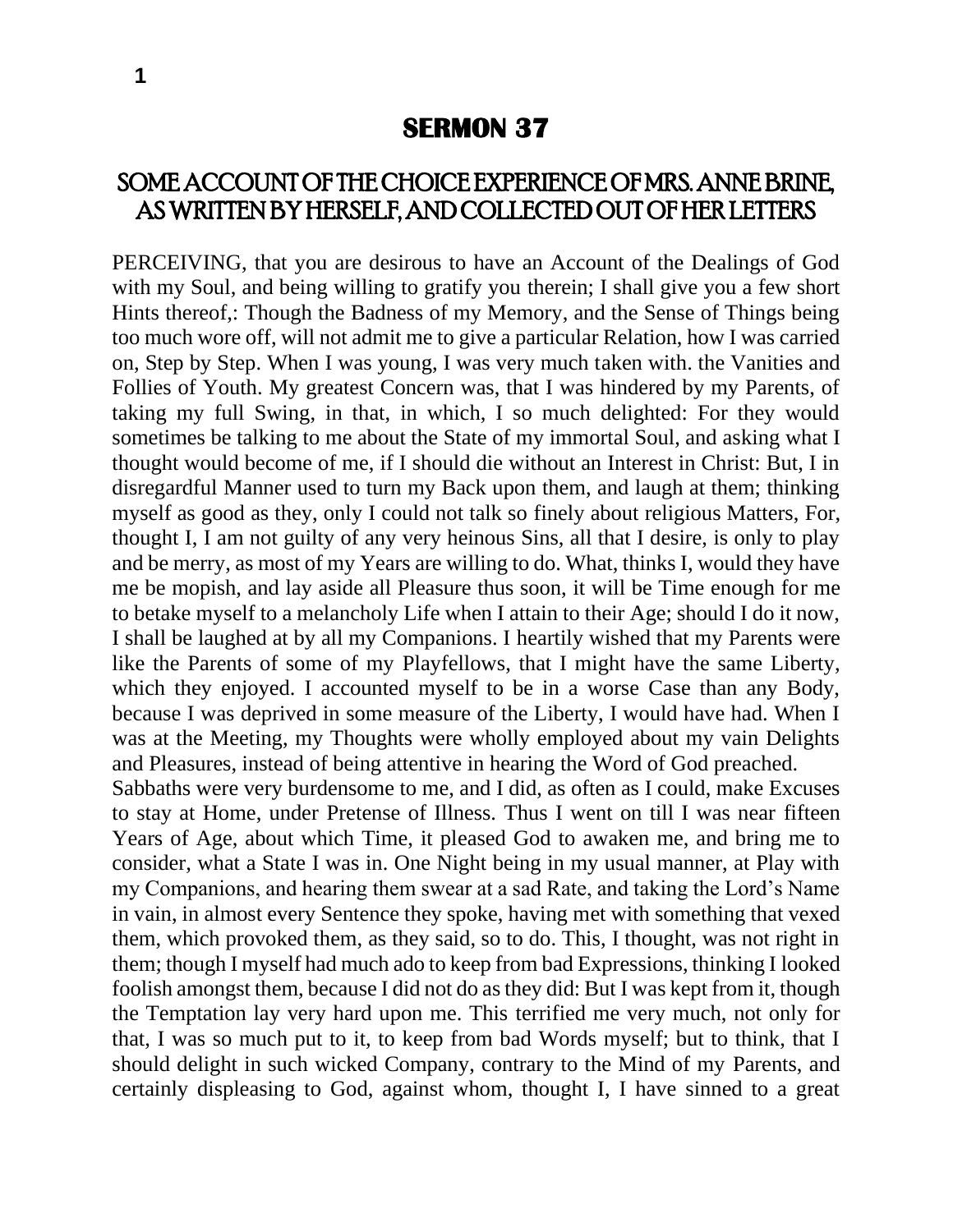## **SERMON 37**

## SOME ACCOUNT OF THE CHOICE EXPERIENCE OF MRS. ANNE BRINE, AS WRITTEN BY HERSELF, AND COLLECTED OUT OF HER LETTERS

PERCEIVING, that you are desirous to have an Account of the Dealings of God with my Soul, and being willing to gratify you therein; I shall give you a few short Hints thereof,: Though the Badness of my Memory, and the Sense of Things being too much wore off, will not admit me to give a particular Relation, how I was carried on, Step by Step. When I was young, I was very much taken with. the Vanities and Follies of Youth. My greatest Concern was, that I was hindered by my Parents, of taking my full Swing, in that, in which, I so much delighted: For they would sometimes be talking to me about the State of my immortal Soul, and asking what I thought would become of me, if I should die without an Interest in Christ: But, I in disregardful Manner used to turn my Back upon them, and laugh at them; thinking myself as good as they, only I could not talk so finely about religious Matters, For, thought I, I am not guilty of any very heinous Sins, all that I desire, is only to play and be merry, as most of my Years are willing to do. What, thinks I, would they have me be mopish, and lay aside all Pleasure thus soon, it will be Time enough for me to betake myself to a melancholy Life when I attain to their Age; should I do it now, I shall be laughed at by all my Companions. I heartily wished that my Parents were like the Parents of some of my Playfellows, that I might have the same Liberty, which they enjoyed. I accounted myself to be in a worse Case than any Body, because I was deprived in some measure of the Liberty, I would have had. When I was at the Meeting, my Thoughts were wholly employed about my vain Delights and Pleasures, instead of being attentive in hearing the Word of God preached. Sabbaths were very burdensome to me, and I did, as often as I could, make Excuses to stay at Home, under Pretense of Illness. Thus I went on till I was near fifteen Years of Age, about which Time, it pleased God to awaken me, and bring me to consider, what a State I was in. One Night being in my usual manner, at Play with my Companions, and hearing them swear at a sad Rate, and taking the Lord's Name in vain, in almost every Sentence they spoke, having met with something that vexed them, which provoked them, as they said, so to do. This, I thought, was not right in

them; though I myself had much ado to keep from bad Expressions, thinking I looked foolish amongst them, because I did not do as they did: But I was kept from it, though the Temptation lay very hard upon me. This terrified me very much, not only for that, I was so much put to it, to keep from bad Words myself; but to think, that I should delight in such wicked Company, contrary to the Mind of my Parents, and certainly displeasing to God, against whom, thought I, I have sinned to a great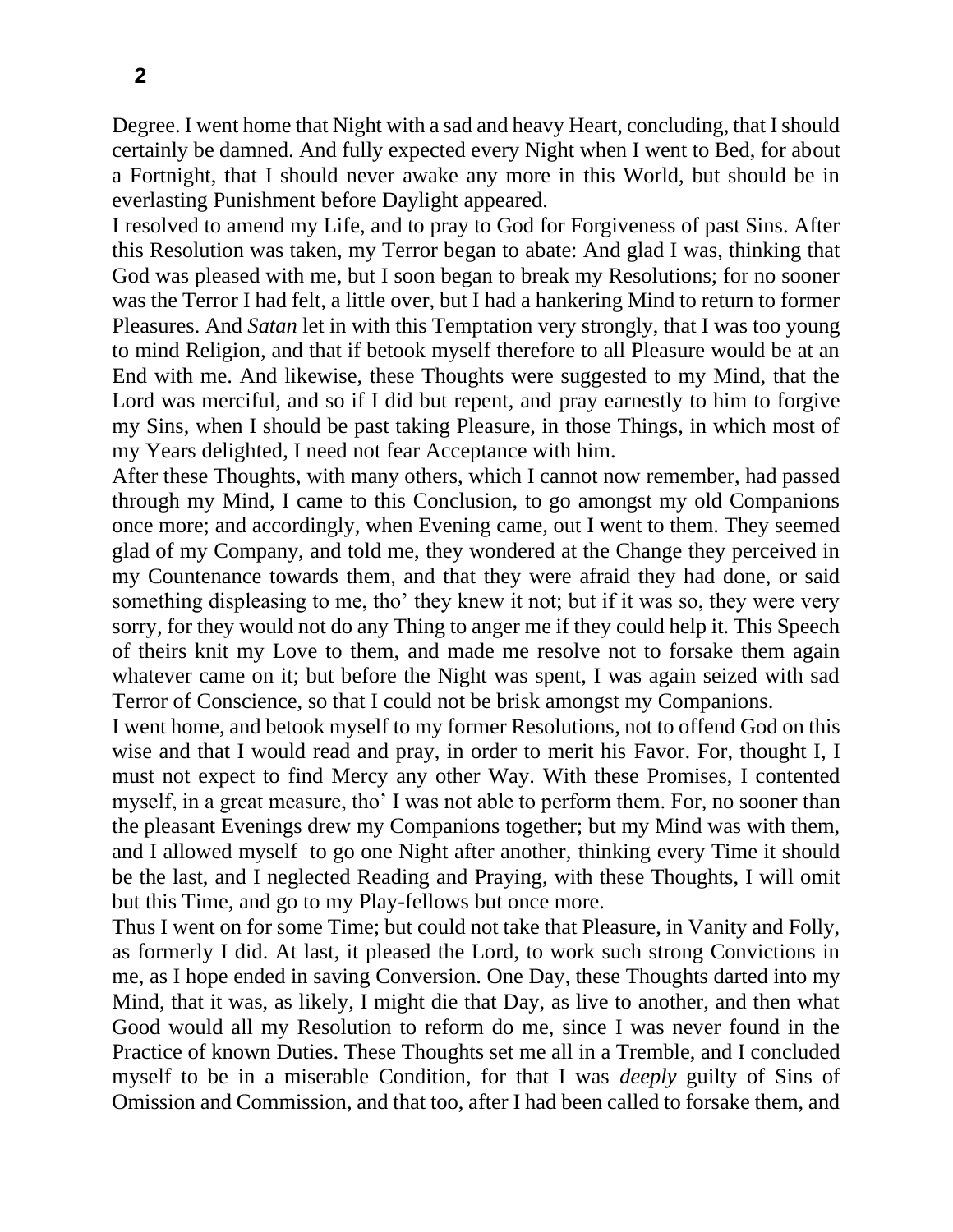Degree. I went home that Night with a sad and heavy Heart, concluding, that I should certainly be damned. And fully expected every Night when I went to Bed, for about a Fortnight, that I should never awake any more in this World, but should be in everlasting Punishment before Daylight appeared.

I resolved to amend my Life, and to pray to God for Forgiveness of past Sins. After this Resolution was taken, my Terror began to abate: And glad I was, thinking that God was pleased with me, but I soon began to break my Resolutions; for no sooner was the Terror I had felt, a little over, but I had a hankering Mind to return to former Pleasures. And *Satan* let in with this Temptation very strongly, that I was too young to mind Religion, and that if betook myself therefore to all Pleasure would be at an End with me. And likewise, these Thoughts were suggested to my Mind, that the Lord was merciful, and so if I did but repent, and pray earnestly to him to forgive my Sins, when I should be past taking Pleasure, in those Things, in which most of my Years delighted, I need not fear Acceptance with him.

After these Thoughts, with many others, which I cannot now remember, had passed through my Mind, I came to this Conclusion, to go amongst my old Companions once more; and accordingly, when Evening came, out I went to them. They seemed glad of my Company, and told me, they wondered at the Change they perceived in my Countenance towards them, and that they were afraid they had done, or said something displeasing to me, tho' they knew it not; but if it was so, they were very sorry, for they would not do any Thing to anger me if they could help it. This Speech of theirs knit my Love to them, and made me resolve not to forsake them again whatever came on it; but before the Night was spent, I was again seized with sad Terror of Conscience, so that I could not be brisk amongst my Companions.

I went home, and betook myself to my former Resolutions, not to offend God on this wise and that I would read and pray, in order to merit his Favor. For, thought I, I must not expect to find Mercy any other Way. With these Promises, I contented myself, in a great measure, tho' I was not able to perform them. For, no sooner than the pleasant Evenings drew my Companions together; but my Mind was with them, and I allowed myself to go one Night after another, thinking every Time it should be the last, and I neglected Reading and Praying, with these Thoughts, I will omit but this Time, and go to my Play-fellows but once more.

Thus I went on for some Time; but could not take that Pleasure, in Vanity and Folly, as formerly I did. At last, it pleased the Lord, to work such strong Convictions in me, as I hope ended in saving Conversion. One Day, these Thoughts darted into my Mind, that it was, as likely, I might die that Day, as live to another, and then what Good would all my Resolution to reform do me, since I was never found in the Practice of known Duties. These Thoughts set me all in a Tremble, and I concluded myself to be in a miserable Condition, for that I was *deeply* guilty of Sins of Omission and Commission, and that too, after I had been called to forsake them, and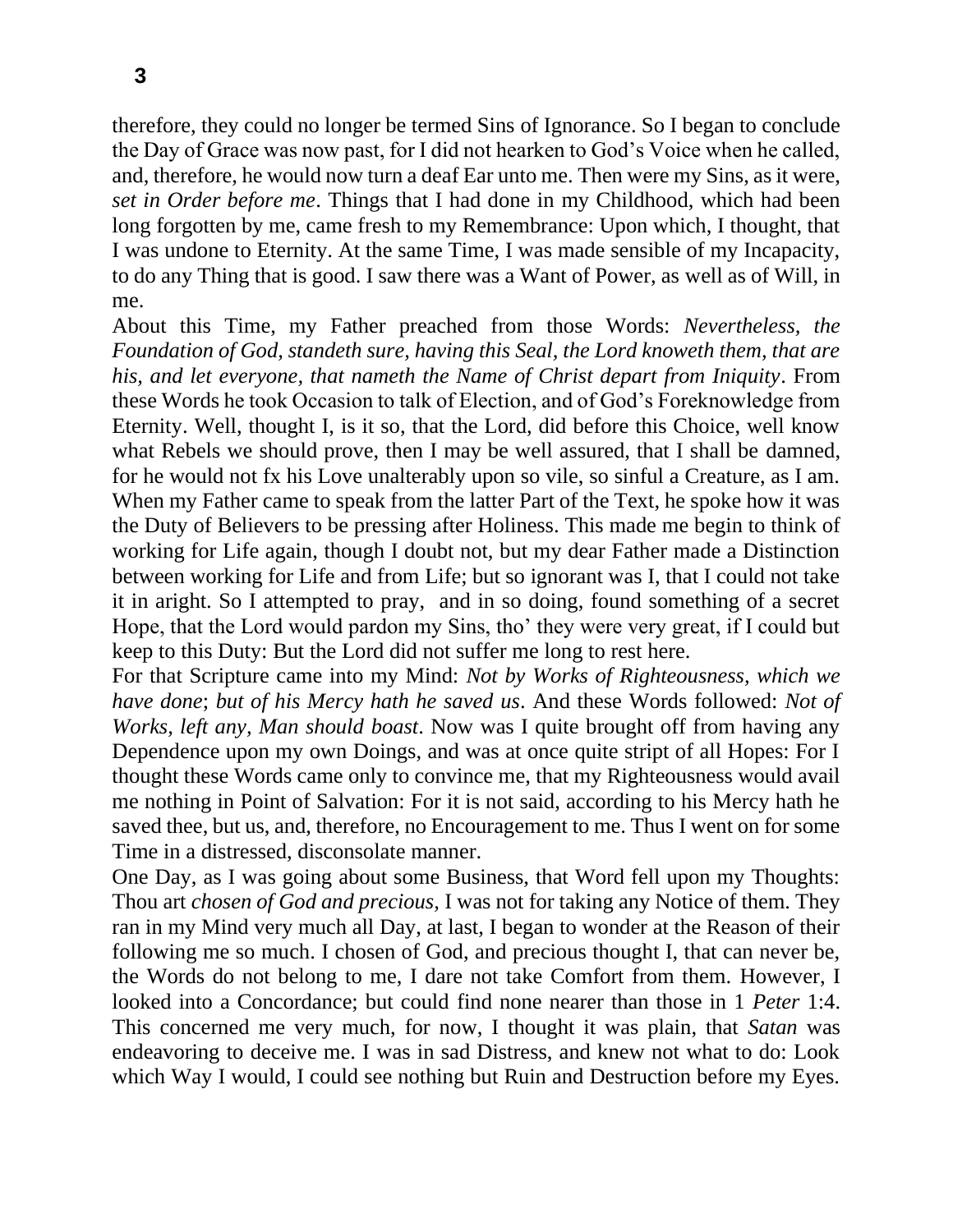therefore, they could no longer be termed Sins of Ignorance. So I began to conclude the Day of Grace was now past, for I did not hearken to God's Voice when he called, and, therefore, he would now turn a deaf Ear unto me. Then were my Sins, as it were, *set in Order before me*. Things that I had done in my Childhood, which had been long forgotten by me, came fresh to my Remembrance: Upon which, I thought, that I was undone to Eternity. At the same Time, I was made sensible of my Incapacity, to do any Thing that is good. I saw there was a Want of Power, as well as of Will, in me.

About this Time, my Father preached from those Words: *Nevertheless, the Foundation of God, standeth sure, having this Seal, the Lord knoweth them, that are his, and let everyone, that nameth the Name of Christ depart from Iniquity*. From these Words he took Occasion to talk of Election, and of God's Foreknowledge from Eternity. Well, thought I, is it so, that the Lord, did before this Choice, well know what Rebels we should prove, then I may be well assured, that I shall be damned, for he would not fx his Love unalterably upon so vile, so sinful a Creature, as I am. When my Father came to speak from the latter Part of the Text, he spoke how it was the Duty of Believers to be pressing after Holiness. This made me begin to think of working for Life again, though I doubt not, but my dear Father made a Distinction between working for Life and from Life; but so ignorant was I, that I could not take it in aright. So I attempted to pray, and in so doing, found something of a secret Hope, that the Lord would pardon my Sins, tho' they were very great, if I could but keep to this Duty: But the Lord did not suffer me long to rest here.

For that Scripture came into my Mind: *Not by Works of Righteousness, which we have done*; *but of his Mercy hath he saved us*. And these Words followed: *Not of Works, left any, Man should boast*. Now was I quite brought off from having any Dependence upon my own Doings, and was at once quite stript of all Hopes: For I thought these Words came only to convince me, that my Righteousness would avail me nothing in Point of Salvation: For it is not said, according to his Mercy hath he saved thee, but us, and, therefore, no Encouragement to me. Thus I went on for some Time in a distressed, disconsolate manner.

One Day, as I was going about some Business, that Word fell upon my Thoughts: Thou art *chosen of God and precious,* I was not for taking any Notice of them. They ran in my Mind very much all Day, at last, I began to wonder at the Reason of their following me so much. I chosen of God, and precious thought I, that can never be, the Words do not belong to me, I dare not take Comfort from them. However, I looked into a Concordance; but could find none nearer than those in 1 *Peter* 1:4. This concerned me very much, for now, I thought it was plain, that *Satan* was endeavoring to deceive me. I was in sad Distress, and knew not what to do: Look which Way I would, I could see nothing but Ruin and Destruction before my Eyes.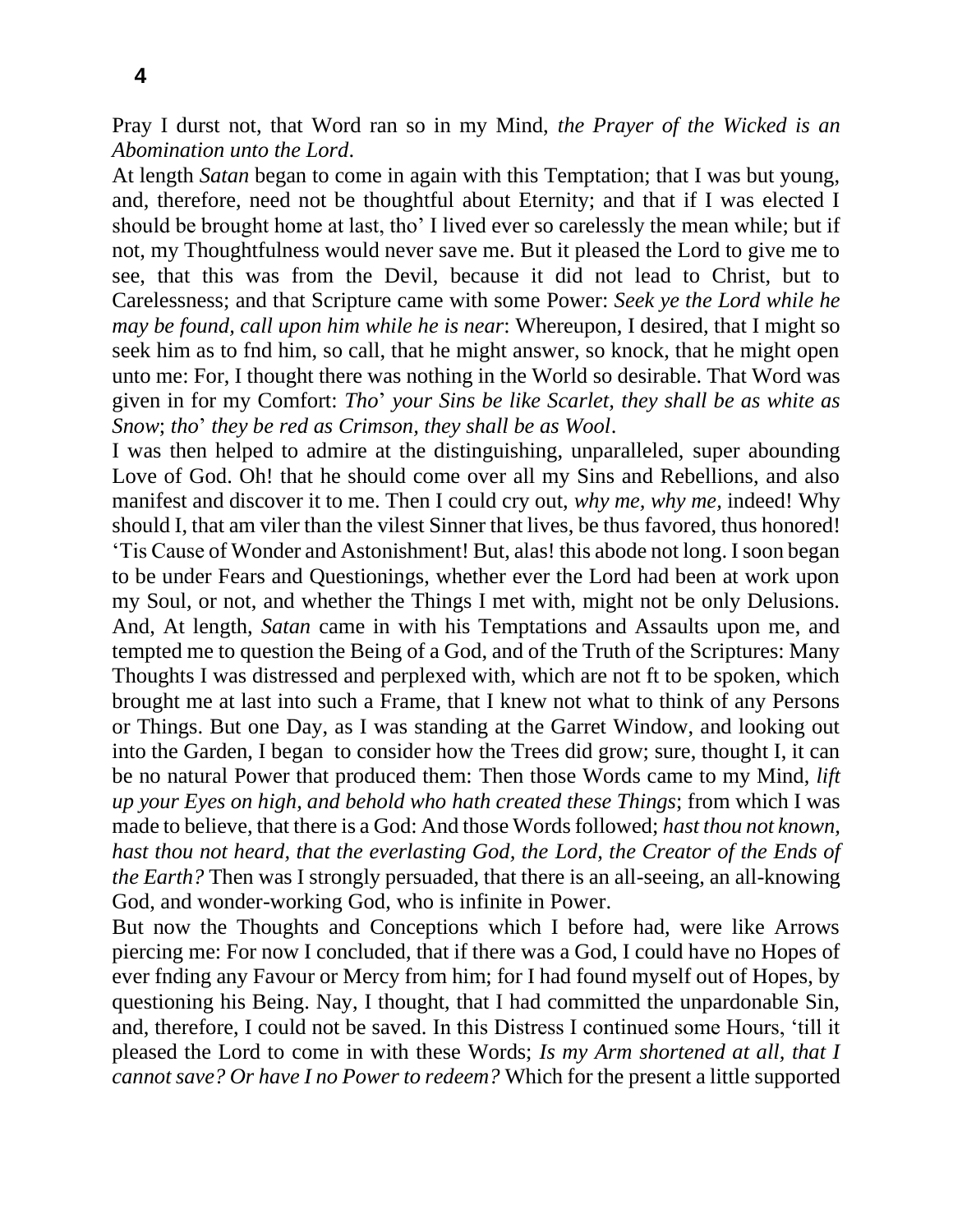**4**

Pray I durst not, that Word ran so in my Mind, *the Prayer of the Wicked is an Abomination unto the Lord*.

At length *Satan* began to come in again with this Temptation; that I was but young, and, therefore, need not be thoughtful about Eternity; and that if I was elected I should be brought home at last, tho' I lived ever so carelessly the mean while; but if not, my Thoughtfulness would never save me. But it pleased the Lord to give me to see, that this was from the Devil, because it did not lead to Christ, but to Carelessness; and that Scripture came with some Power: *Seek ye the Lord while he may be found, call upon him while he is near*: Whereupon, I desired, that I might so seek him as to fnd him, so call, that he might answer, so knock, that he might open unto me: For, I thought there was nothing in the World so desirable. That Word was given in for my Comfort: *Tho*' *your Sins be like Scarlet, they shall be as white as Snow*; *tho*' *they be red as Crimson, they shall be as Wool*.

I was then helped to admire at the distinguishing, unparalleled, super abounding Love of God. Oh! that he should come over all my Sins and Rebellions, and also manifest and discover it to me. Then I could cry out, *why me, why me,* indeed! Why should I, that am viler than the vilest Sinner that lives, be thus favored, thus honored! 'Tis Cause of Wonder and Astonishment! But, alas! this abode not long. I soon began to be under Fears and Questionings, whether ever the Lord had been at work upon my Soul, or not, and whether the Things I met with, might not be only Delusions. And, At length, *Satan* came in with his Temptations and Assaults upon me, and tempted me to question the Being of a God, and of the Truth of the Scriptures: Many Thoughts I was distressed and perplexed with, which are not ft to be spoken, which brought me at last into such a Frame, that I knew not what to think of any Persons or Things. But one Day, as I was standing at the Garret Window, and looking out into the Garden, I began to consider how the Trees did grow; sure, thought I, it can be no natural Power that produced them: Then those Words came to my Mind, *lift up your Eyes on high, and behold who hath created these Things*; from which I was made to believe, that there is a God: And those Words followed; *hast thou not known, hast thou not heard, that the everlasting God, the Lord, the Creator of the Ends of the Earth?* Then was I strongly persuaded, that there is an all-seeing, an all-knowing God, and wonder-working God, who is infinite in Power.

But now the Thoughts and Conceptions which I before had, were like Arrows piercing me: For now I concluded, that if there was a God, I could have no Hopes of ever fnding any Favour or Mercy from him; for I had found myself out of Hopes, by questioning his Being. Nay, I thought, that I had committed the unpardonable Sin, and, therefore, I could not be saved. In this Distress I continued some Hours, 'till it pleased the Lord to come in with these Words; *Is my Arm shortened at all, that I cannot save? Or have I no Power to redeem?* Which for the present a little supported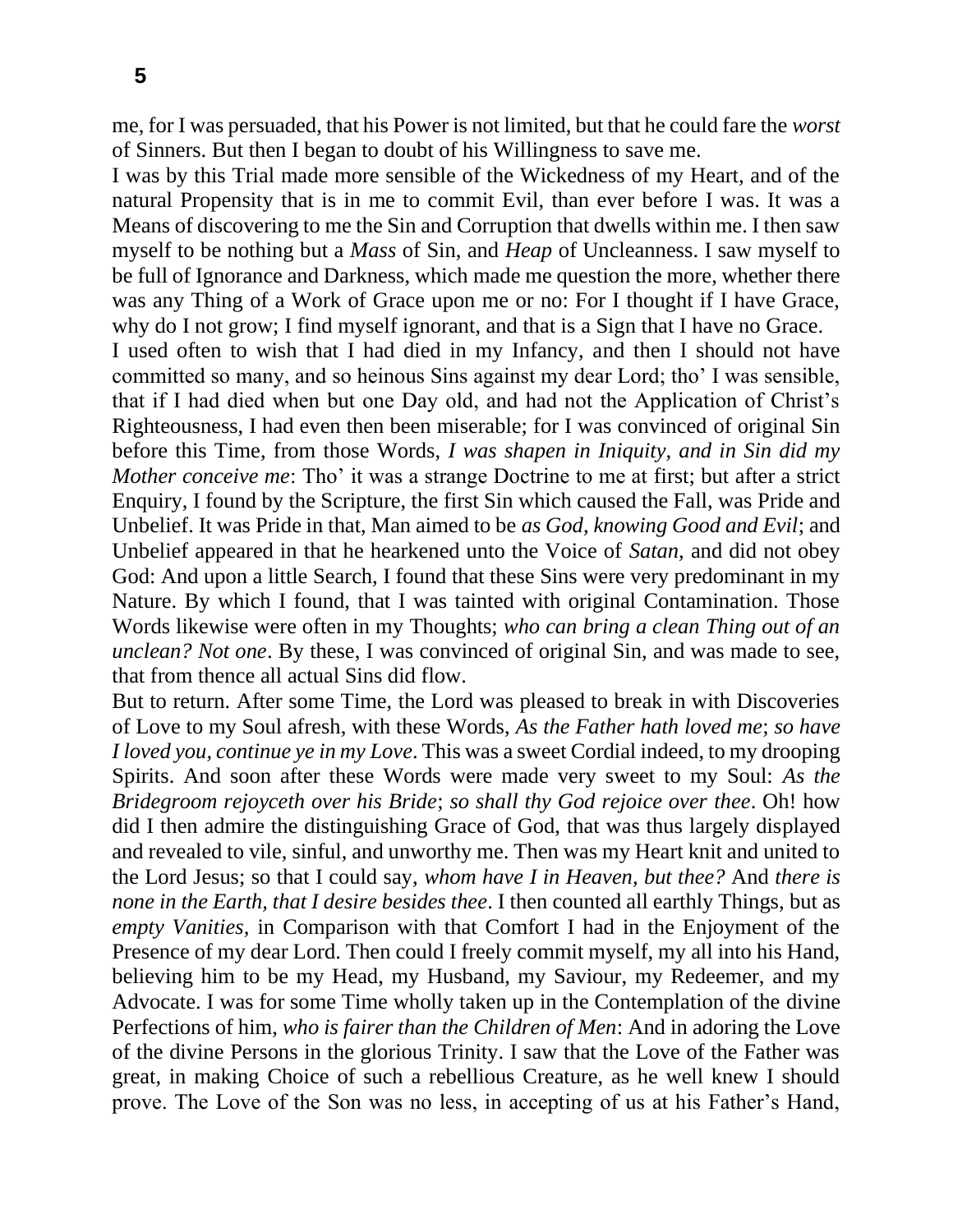me, for I was persuaded, that his Power is not limited, but that he could fare the *worst*  of Sinners. But then I began to doubt of his Willingness to save me.

I was by this Trial made more sensible of the Wickedness of my Heart, and of the natural Propensity that is in me to commit Evil, than ever before I was. It was a Means of discovering to me the Sin and Corruption that dwells within me. I then saw myself to be nothing but a *Mass* of Sin, and *Heap* of Uncleanness. I saw myself to be full of Ignorance and Darkness, which made me question the more, whether there was any Thing of a Work of Grace upon me or no: For I thought if I have Grace, why do I not grow; I find myself ignorant, and that is a Sign that I have no Grace.

I used often to wish that I had died in my Infancy, and then I should not have committed so many, and so heinous Sins against my dear Lord; tho' I was sensible, that if I had died when but one Day old, and had not the Application of Christ's Righteousness, I had even then been miserable; for I was convinced of original Sin before this Time, from those Words, *I was shapen in Iniquity, and in Sin did my Mother conceive me*: Tho' it was a strange Doctrine to me at first; but after a strict Enquiry, I found by the Scripture, the first Sin which caused the Fall, was Pride and Unbelief. It was Pride in that, Man aimed to be *as God, knowing Good and Evil*; and Unbelief appeared in that he hearkened unto the Voice of *Satan,* and did not obey God: And upon a little Search, I found that these Sins were very predominant in my Nature. By which I found, that I was tainted with original Contamination. Those Words likewise were often in my Thoughts; *who can bring a clean Thing out of an unclean? Not one*. By these, I was convinced of original Sin, and was made to see, that from thence all actual Sins did flow.

But to return. After some Time, the Lord was pleased to break in with Discoveries of Love to my Soul afresh, with these Words, *As the Father hath loved me*; *so have I loved you, continue ye in my Love*. This was a sweet Cordial indeed, to my drooping Spirits. And soon after these Words were made very sweet to my Soul: *As the Bridegroom rejoyceth over his Bride*; *so shall thy God rejoice over thee*. Oh! how did I then admire the distinguishing Grace of God, that was thus largely displayed and revealed to vile, sinful, and unworthy me. Then was my Heart knit and united to the Lord Jesus; so that I could say, *whom have I in Heaven, but thee?* And *there is none in the Earth, that I desire besides thee*. I then counted all earthly Things, but as *empty Vanities,* in Comparison with that Comfort I had in the Enjoyment of the Presence of my dear Lord. Then could I freely commit myself, my all into his Hand, believing him to be my Head, my Husband, my Saviour, my Redeemer, and my Advocate. I was for some Time wholly taken up in the Contemplation of the divine Perfections of him, *who is fairer than the Children of Men*: And in adoring the Love of the divine Persons in the glorious Trinity. I saw that the Love of the Father was great, in making Choice of such a rebellious Creature, as he well knew I should prove. The Love of the Son was no less, in accepting of us at his Father's Hand,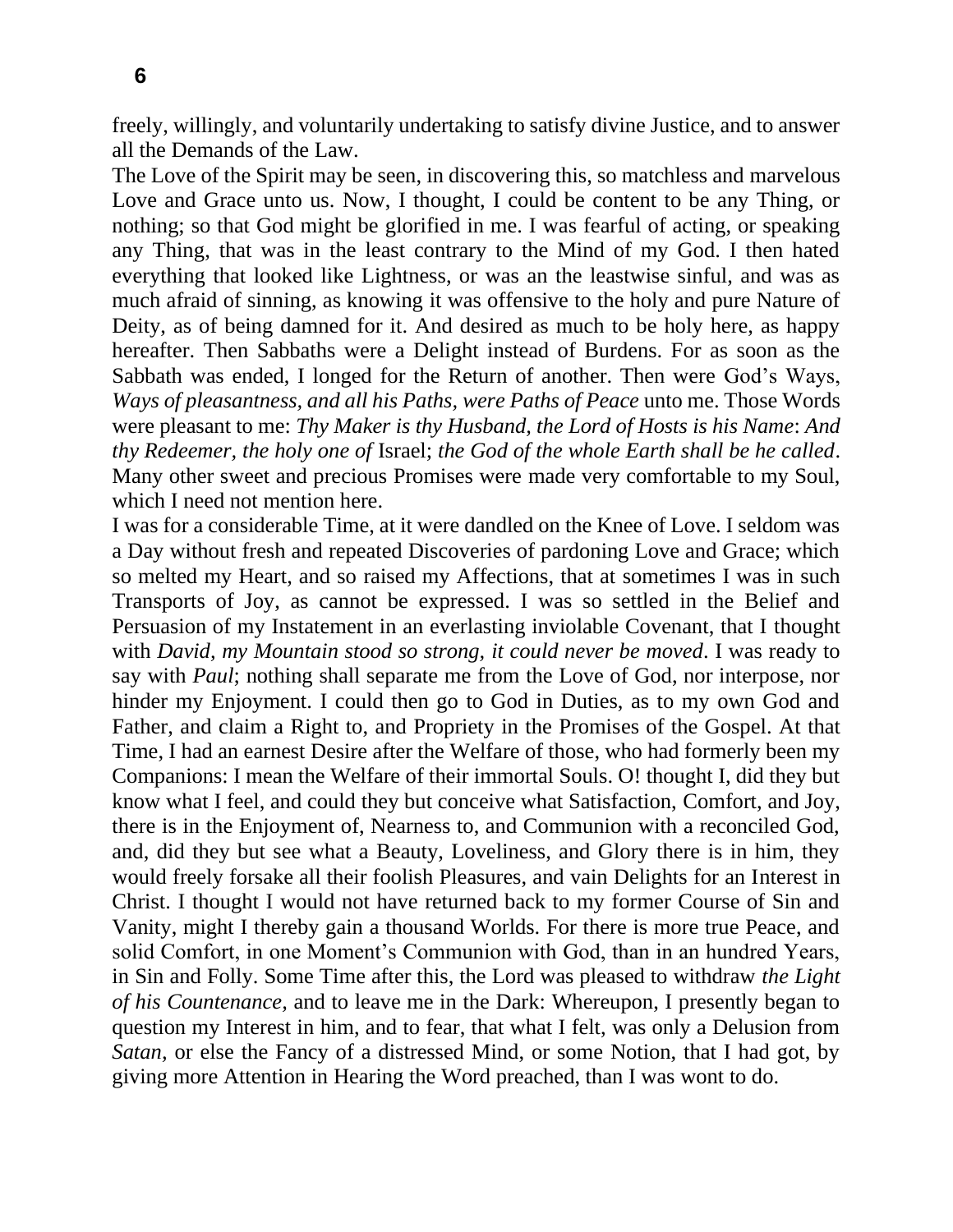freely, willingly, and voluntarily undertaking to satisfy divine Justice, and to answer all the Demands of the Law.

The Love of the Spirit may be seen, in discovering this, so matchless and marvelous Love and Grace unto us. Now, I thought, I could be content to be any Thing, or nothing; so that God might be glorified in me. I was fearful of acting, or speaking any Thing, that was in the least contrary to the Mind of my God. I then hated everything that looked like Lightness, or was an the leastwise sinful, and was as much afraid of sinning, as knowing it was offensive to the holy and pure Nature of Deity, as of being damned for it. And desired as much to be holy here, as happy hereafter. Then Sabbaths were a Delight instead of Burdens. For as soon as the Sabbath was ended, I longed for the Return of another. Then were God's Ways, *Ways of pleasantness, and all his Paths, were Paths of Peace* unto me. Those Words were pleasant to me: *Thy Maker is thy Husband, the Lord of Hosts is his Name*: *And thy Redeemer, the holy one of* Israel; *the God of the whole Earth shall be he called*. Many other sweet and precious Promises were made very comfortable to my Soul, which I need not mention here.

I was for a considerable Time, at it were dandled on the Knee of Love. I seldom was a Day without fresh and repeated Discoveries of pardoning Love and Grace; which so melted my Heart, and so raised my Affections, that at sometimes I was in such Transports of Joy, as cannot be expressed. I was so settled in the Belief and Persuasion of my Instatement in an everlasting inviolable Covenant, that I thought with *David, my Mountain stood so strong, it could never be moved*. I was ready to say with *Paul*; nothing shall separate me from the Love of God, nor interpose, nor hinder my Enjoyment. I could then go to God in Duties, as to my own God and Father, and claim a Right to, and Propriety in the Promises of the Gospel. At that Time, I had an earnest Desire after the Welfare of those, who had formerly been my Companions: I mean the Welfare of their immortal Souls. O! thought I, did they but know what I feel, and could they but conceive what Satisfaction, Comfort, and Joy, there is in the Enjoyment of, Nearness to, and Communion with a reconciled God, and, did they but see what a Beauty, Loveliness, and Glory there is in him, they would freely forsake all their foolish Pleasures, and vain Delights for an Interest in Christ. I thought I would not have returned back to my former Course of Sin and Vanity, might I thereby gain a thousand Worlds. For there is more true Peace, and solid Comfort, in one Moment's Communion with God, than in an hundred Years, in Sin and Folly. Some Time after this, the Lord was pleased to withdraw *the Light of his Countenance,* and to leave me in the Dark: Whereupon, I presently began to question my Interest in him, and to fear, that what I felt, was only a Delusion from *Satan,* or else the Fancy of a distressed Mind, or some Notion, that I had got, by giving more Attention in Hearing the Word preached, than I was wont to do.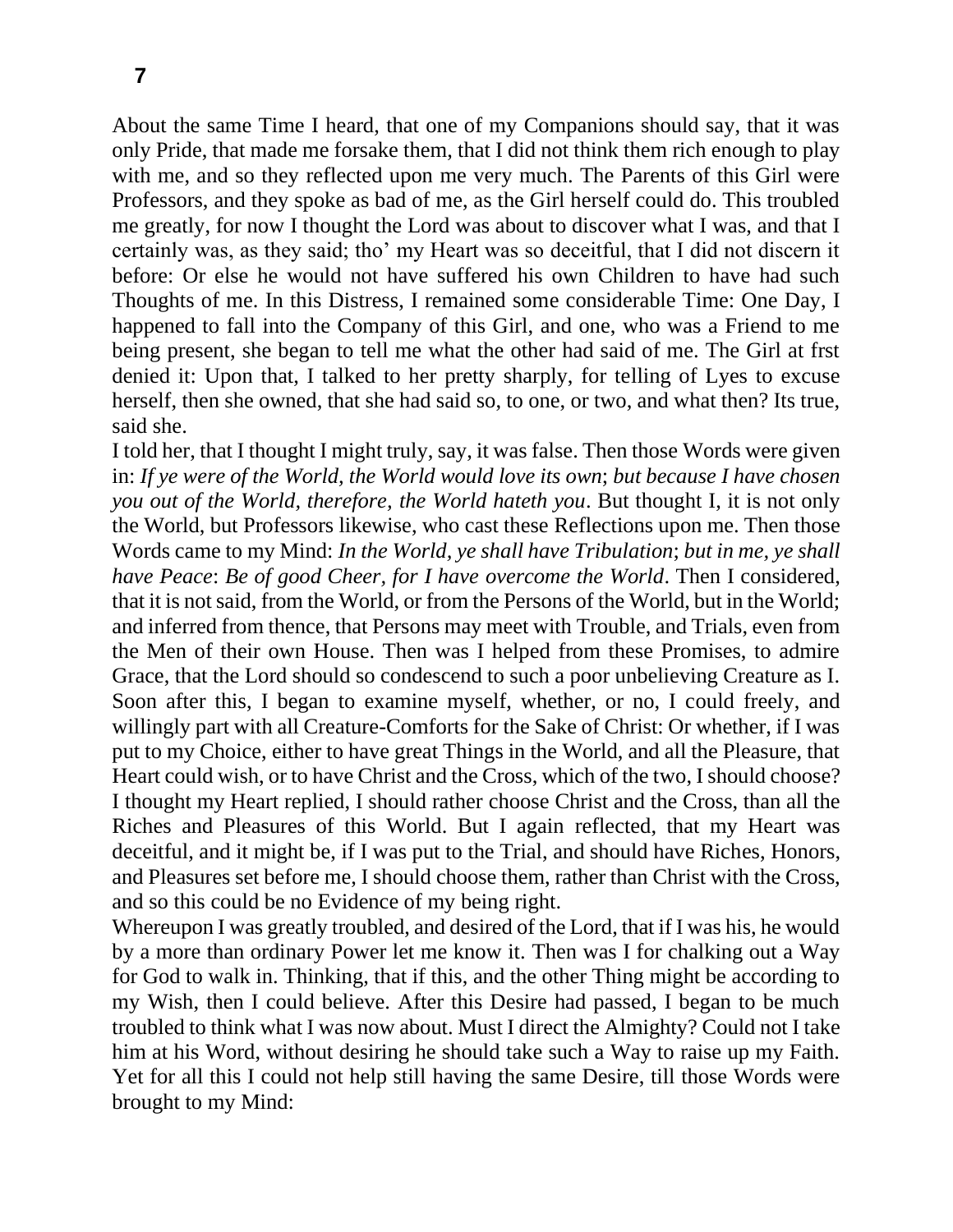About the same Time I heard, that one of my Companions should say, that it was only Pride, that made me forsake them, that I did not think them rich enough to play with me, and so they reflected upon me very much. The Parents of this Girl were Professors, and they spoke as bad of me, as the Girl herself could do. This troubled me greatly, for now I thought the Lord was about to discover what I was, and that I certainly was, as they said; tho' my Heart was so deceitful, that I did not discern it before: Or else he would not have suffered his own Children to have had such Thoughts of me. In this Distress, I remained some considerable Time: One Day, I happened to fall into the Company of this Girl, and one, who was a Friend to me being present, she began to tell me what the other had said of me. The Girl at frst denied it: Upon that, I talked to her pretty sharply, for telling of Lyes to excuse herself, then she owned, that she had said so, to one, or two, and what then? Its true, said she.

I told her, that I thought I might truly, say, it was false. Then those Words were given in: *If ye were of the World, the World would love its own*; *but because I have chosen you out of the World, therefore, the World hateth you*. But thought I, it is not only the World, but Professors likewise, who cast these Reflections upon me. Then those Words came to my Mind: *In the World, ye shall have Tribulation*; *but in me, ye shall have Peace*: *Be of good Cheer, for I have overcome the World*. Then I considered, that it is not said, from the World, or from the Persons of the World, but in the World; and inferred from thence, that Persons may meet with Trouble, and Trials, even from the Men of their own House. Then was I helped from these Promises, to admire Grace, that the Lord should so condescend to such a poor unbelieving Creature as I. Soon after this, I began to examine myself, whether, or no, I could freely, and willingly part with all Creature-Comforts for the Sake of Christ: Or whether, if I was put to my Choice, either to have great Things in the World, and all the Pleasure, that Heart could wish, or to have Christ and the Cross, which of the two, I should choose? I thought my Heart replied, I should rather choose Christ and the Cross, than all the Riches and Pleasures of this World. But I again reflected, that my Heart was deceitful, and it might be, if I was put to the Trial, and should have Riches, Honors, and Pleasures set before me, I should choose them, rather than Christ with the Cross, and so this could be no Evidence of my being right.

Whereupon I was greatly troubled, and desired of the Lord, that if I was his, he would by a more than ordinary Power let me know it. Then was I for chalking out a Way for God to walk in. Thinking, that if this, and the other Thing might be according to my Wish, then I could believe. After this Desire had passed, I began to be much troubled to think what I was now about. Must I direct the Almighty? Could not I take him at his Word, without desiring he should take such a Way to raise up my Faith. Yet for all this I could not help still having the same Desire, till those Words were brought to my Mind: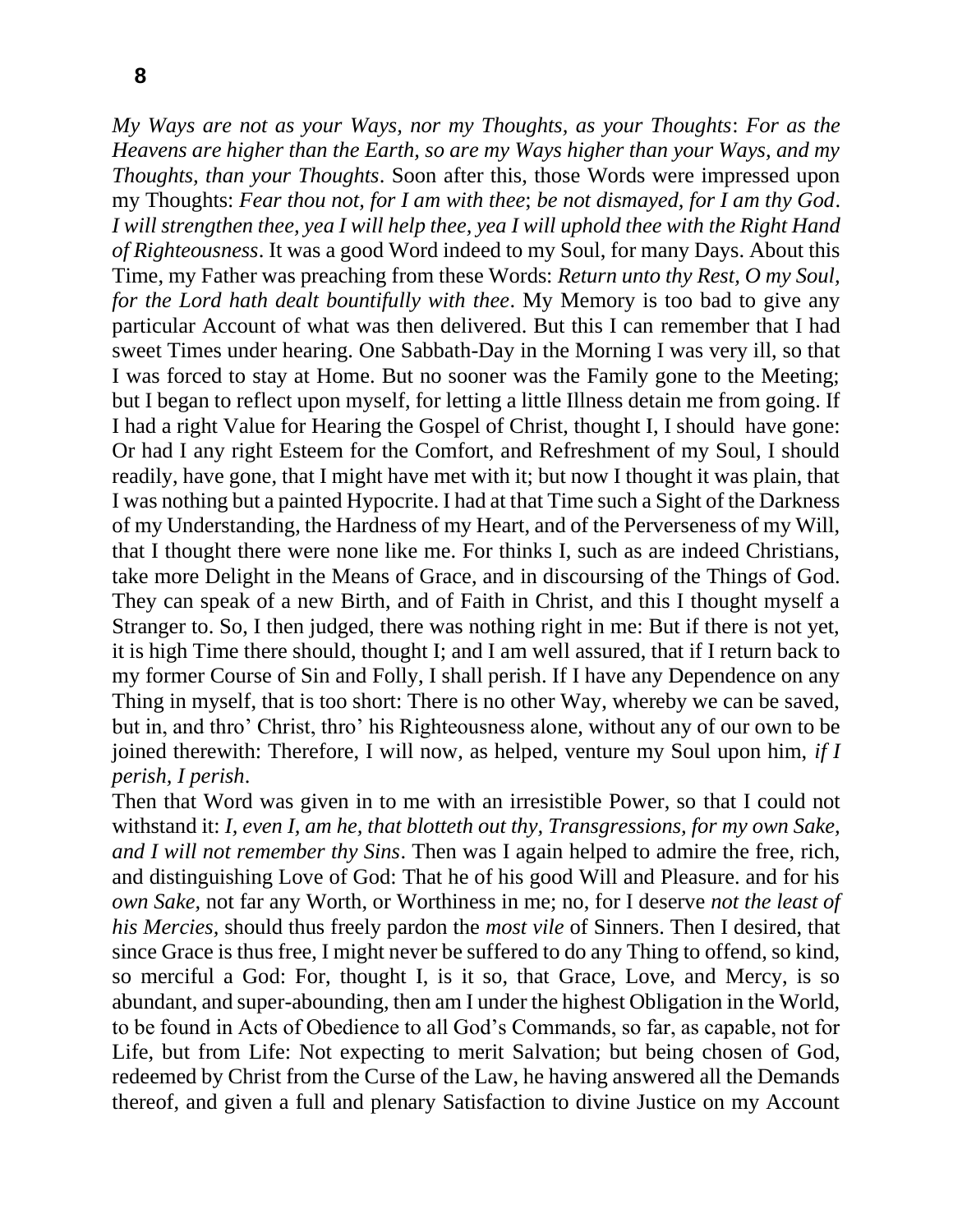*My Ways are not as your Ways, nor my Thoughts, as your Thoughts*: *For as the Heavens are higher than the Earth, so are my Ways higher than your Ways, and my Thoughts, than your Thoughts*. Soon after this, those Words were impressed upon my Thoughts: *Fear thou not, for I am with thee*; *be not dismayed, for I am thy God*. *I* will strengthen thee, yea *I* will help thee, yea *I* will uphold thee with the Right Hand *of Righteousness*. It was a good Word indeed to my Soul, for many Days. About this Time, my Father was preaching from these Words: *Return unto thy Rest, O my Soul, for the Lord hath dealt bountifully with thee*. My Memory is too bad to give any particular Account of what was then delivered. But this I can remember that I had sweet Times under hearing. One Sabbath-Day in the Morning I was very ill, so that I was forced to stay at Home. But no sooner was the Family gone to the Meeting; but I began to reflect upon myself, for letting a little Illness detain me from going. If I had a right Value for Hearing the Gospel of Christ, thought I, I should have gone: Or had I any right Esteem for the Comfort, and Refreshment of my Soul, I should readily, have gone, that I might have met with it; but now I thought it was plain, that I was nothing but a painted Hypocrite. I had at that Time such a Sight of the Darkness of my Understanding, the Hardness of my Heart, and of the Perverseness of my Will, that I thought there were none like me. For thinks I, such as are indeed Christians, take more Delight in the Means of Grace, and in discoursing of the Things of God. They can speak of a new Birth, and of Faith in Christ, and this I thought myself a Stranger to. So, I then judged, there was nothing right in me: But if there is not yet, it is high Time there should, thought I; and I am well assured, that if I return back to my former Course of Sin and Folly, I shall perish. If I have any Dependence on any Thing in myself, that is too short: There is no other Way, whereby we can be saved, but in, and thro' Christ, thro' his Righteousness alone, without any of our own to be joined therewith: Therefore, I will now, as helped, venture my Soul upon him, *if I perish, I perish*.

Then that Word was given in to me with an irresistible Power, so that I could not withstand it: *I, even I, am he, that blotteth out thy, Transgressions, for my own Sake, and I will not remember thy Sins*. Then was I again helped to admire the free, rich, and distinguishing Love of God: That he of his good Will and Pleasure. and for his *own Sake,* not far any Worth, or Worthiness in me; no, for I deserve *not the least of his Mercies,* should thus freely pardon the *most vile* of Sinners. Then I desired, that since Grace is thus free, I might never be suffered to do any Thing to offend, so kind, so merciful a God: For, thought I, is it so, that Grace, Love, and Mercy, is so abundant, and super-abounding, then am I under the highest Obligation in the World, to be found in Acts of Obedience to all God's Commands, so far, as capable, not for Life, but from Life: Not expecting to merit Salvation; but being chosen of God, redeemed by Christ from the Curse of the Law, he having answered all the Demands thereof, and given a full and plenary Satisfaction to divine Justice on my Account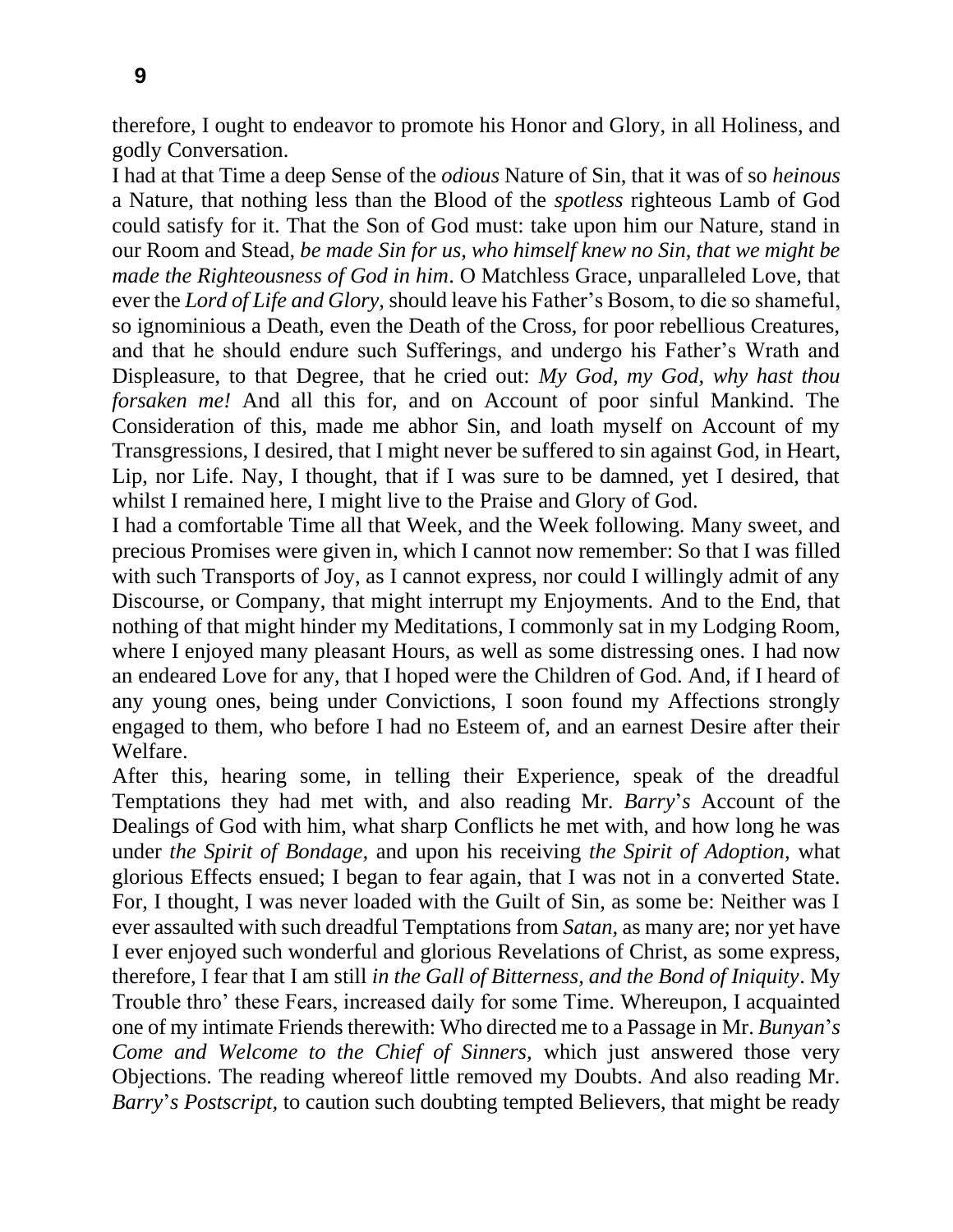therefore, I ought to endeavor to promote his Honor and Glory, in all Holiness, and

godly Conversation. I had at that Time a deep Sense of the *odious* Nature of Sin, that it was of so *heinous*  a Nature, that nothing less than the Blood of the *spotless* righteous Lamb of God could satisfy for it. That the Son of God must: take upon him our Nature, stand in our Room and Stead, *be made Sin for us, who himself knew no Sin, that we might be made the Righteousness of God in him*. O Matchless Grace, unparalleled Love, that ever the *Lord of Life and Glory,* should leave his Father's Bosom, to die so shameful, so ignominious a Death, even the Death of the Cross, for poor rebellious Creatures, and that he should endure such Sufferings, and undergo his Father's Wrath and Displeasure, to that Degree, that he cried out: *My God, my God, why hast thou forsaken me!* And all this for, and on Account of poor sinful Mankind. The Consideration of this, made me abhor Sin, and loath myself on Account of my Transgressions, I desired, that I might never be suffered to sin against God, in Heart, Lip, nor Life. Nay, I thought, that if I was sure to be damned, yet I desired, that whilst I remained here, I might live to the Praise and Glory of God.

I had a comfortable Time all that Week, and the Week following. Many sweet, and precious Promises were given in, which I cannot now remember: So that I was filled with such Transports of Joy, as I cannot express, nor could I willingly admit of any Discourse, or Company, that might interrupt my Enjoyments. And to the End, that nothing of that might hinder my Meditations, I commonly sat in my Lodging Room, where I enjoyed many pleasant Hours, as well as some distressing ones. I had now an endeared Love for any, that I hoped were the Children of God. And, if I heard of any young ones, being under Convictions, I soon found my Affections strongly engaged to them, who before I had no Esteem of, and an earnest Desire after their Welfare.

After this, hearing some, in telling their Experience, speak of the dreadful Temptations they had met with, and also reading Mr. *Barry*'*s* Account of the Dealings of God with him, what sharp Conflicts he met with, and how long he was under *the Spirit of Bondage,* and upon his receiving *the Spirit of Adoption,* what glorious Effects ensued; I began to fear again, that I was not in a converted State. For, I thought, I was never loaded with the Guilt of Sin, as some be: Neither was I ever assaulted with such dreadful Temptations from *Satan,* as many are; nor yet have I ever enjoyed such wonderful and glorious Revelations of Christ, as some express, therefore, I fear that I am still *in the Gall of Bitterness, and the Bond of Iniquity*. My Trouble thro' these Fears, increased daily for some Time. Whereupon, I acquainted one of my intimate Friends therewith: Who directed me to a Passage in Mr. *Bunyan*'*s Come and Welcome to the Chief of Sinners,* which just answered those very Objections. The reading whereof little removed my Doubts. And also reading Mr. *Barry*'*s Postscript,* to caution such doubting tempted Believers, that might be ready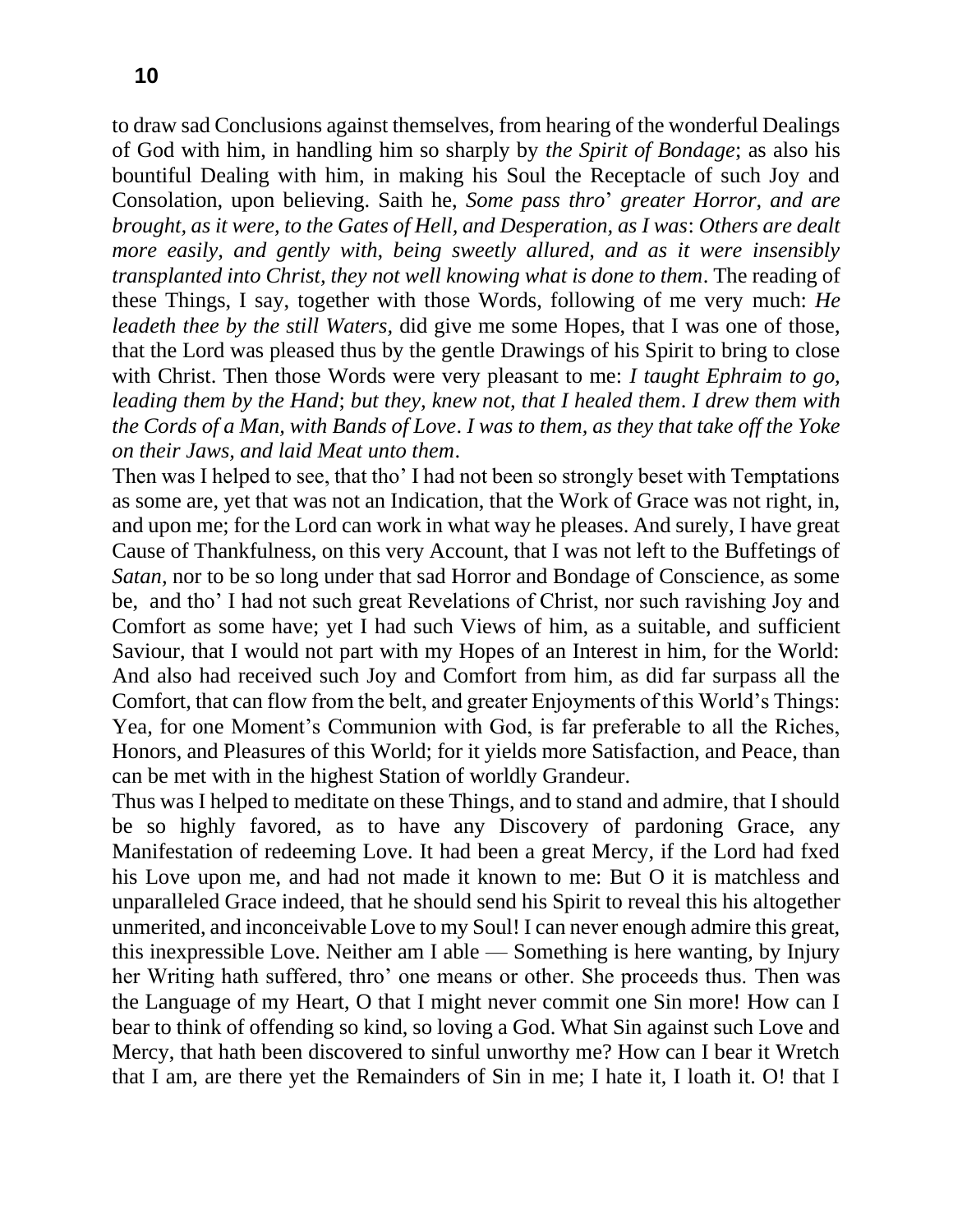to draw sad Conclusions against themselves, from hearing of the wonderful Dealings of God with him, in handling him so sharply by *the Spirit of Bondage*; as also his bountiful Dealing with him, in making his Soul the Receptacle of such Joy and Consolation, upon believing. Saith he, *Some pass thro*' *greater Horror, and are brought, as it were, to the Gates of Hell, and Desperation, as I was*: *Others are dealt more easily, and gently with, being sweetly allured, and as it were insensibly transplanted into Christ, they not well knowing what is done to them*. The reading of these Things, I say, together with those Words, following of me very much: *He leadeth thee by the still Waters,* did give me some Hopes, that I was one of those, that the Lord was pleased thus by the gentle Drawings of his Spirit to bring to close with Christ. Then those Words were very pleasant to me: *I taught Ephraim to go, leading them by the Hand*; *but they, knew not, that I healed them*. *I drew them with the Cords of a Man, with Bands of Love*. *I was to them, as they that take off the Yoke on their Jaws, and laid Meat unto them*.

Then was I helped to see, that tho' I had not been so strongly beset with Temptations as some are, yet that was not an Indication, that the Work of Grace was not right, in, and upon me; for the Lord can work in what way he pleases. And surely, I have great Cause of Thankfulness, on this very Account, that I was not left to the Buffetings of *Satan,* nor to be so long under that sad Horror and Bondage of Conscience, as some be, and tho' I had not such great Revelations of Christ, nor such ravishing Joy and Comfort as some have; yet I had such Views of him, as a suitable, and sufficient Saviour, that I would not part with my Hopes of an Interest in him, for the World: And also had received such Joy and Comfort from him, as did far surpass all the Comfort, that can flow from the belt, and greater Enjoyments of this World's Things: Yea, for one Moment's Communion with God, is far preferable to all the Riches, Honors, and Pleasures of this World; for it yields more Satisfaction, and Peace, than can be met with in the highest Station of worldly Grandeur.

Thus was I helped to meditate on these Things, and to stand and admire, that I should be so highly favored, as to have any Discovery of pardoning Grace, any Manifestation of redeeming Love. It had been a great Mercy, if the Lord had fxed his Love upon me, and had not made it known to me: But O it is matchless and unparalleled Grace indeed, that he should send his Spirit to reveal this his altogether unmerited, and inconceivable Love to my Soul! I can never enough admire this great, this inexpressible Love. Neither am I able — Something is here wanting, by Injury her Writing hath suffered, thro' one means or other. She proceeds thus. Then was the Language of my Heart, O that I might never commit one Sin more! How can I bear to think of offending so kind, so loving a God. What Sin against such Love and Mercy, that hath been discovered to sinful unworthy me? How can I bear it Wretch that I am, are there yet the Remainders of Sin in me; I hate it, I loath it. O! that I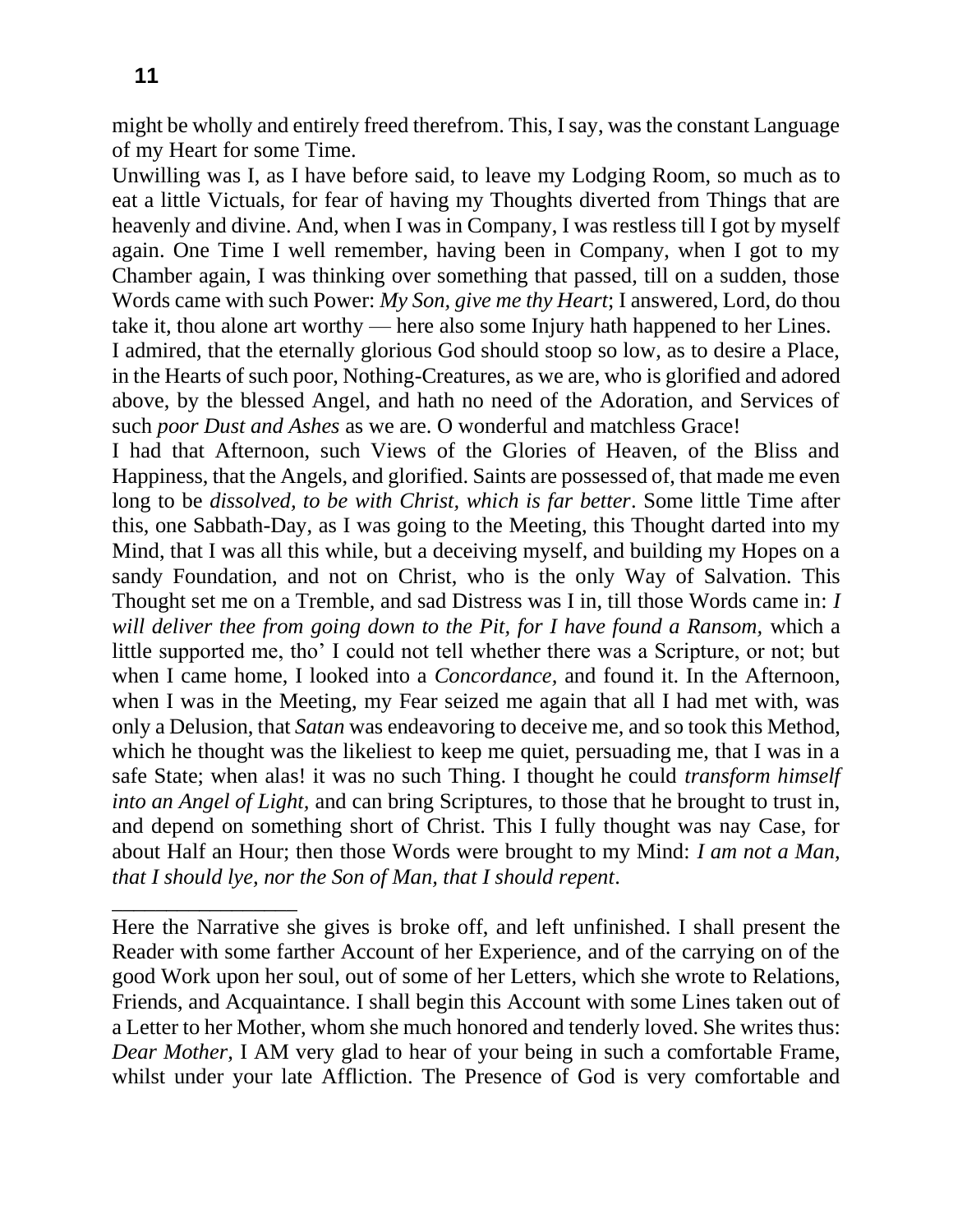\_\_\_\_\_\_\_\_\_\_\_\_\_\_\_\_\_

might be wholly and entirely freed therefrom. This, I say, was the constant Language of my Heart for some Time.

Unwilling was I, as I have before said, to leave my Lodging Room, so much as to eat a little Victuals, for fear of having my Thoughts diverted from Things that are heavenly and divine. And, when I was in Company, I was restless till I got by myself again. One Time I well remember, having been in Company, when I got to my Chamber again, I was thinking over something that passed, till on a sudden, those Words came with such Power: *My Son, give me thy Heart*; I answered, Lord, do thou take it, thou alone art worthy — here also some Injury hath happened to her Lines.

I admired, that the eternally glorious God should stoop so low, as to desire a Place, in the Hearts of such poor, Nothing-Creatures, as we are, who is glorified and adored above, by the blessed Angel, and hath no need of the Adoration, and Services of such *poor Dust and Ashes* as we are. O wonderful and matchless Grace!

I had that Afternoon, such Views of the Glories of Heaven, of the Bliss and Happiness, that the Angels, and glorified. Saints are possessed of, that made me even long to be *dissolved, to be with Christ, which is far better*. Some little Time after this, one Sabbath-Day, as I was going to the Meeting, this Thought darted into my Mind, that I was all this while, but a deceiving myself, and building my Hopes on a sandy Foundation, and not on Christ, who is the only Way of Salvation. This Thought set me on a Tremble, and sad Distress was I in, till those Words came in: *I will deliver thee from going down to the Pit, for I have found a Ransom,* which a little supported me, tho' I could not tell whether there was a Scripture, or not; but when I came home, I looked into a *Concordance,* and found it. In the Afternoon, when I was in the Meeting, my Fear seized me again that all I had met with, was only a Delusion, that *Satan* was endeavoring to deceive me, and so took this Method, which he thought was the likeliest to keep me quiet, persuading me, that I was in a safe State; when alas! it was no such Thing. I thought he could *transform himself into an Angel of Light,* and can bring Scriptures, to those that he brought to trust in, and depend on something short of Christ. This I fully thought was nay Case, for about Half an Hour; then those Words were brought to my Mind: *I am not a Man, that I should lye, nor the Son of Man, that I should repent*.

Here the Narrative she gives is broke off, and left unfinished. I shall present the Reader with some farther Account of her Experience, and of the carrying on of the good Work upon her soul, out of some of her Letters, which she wrote to Relations, Friends, and Acquaintance. I shall begin this Account with some Lines taken out of a Letter to her Mother, whom she much honored and tenderly loved. She writes thus: *Dear Mother,* I AM very glad to hear of your being in such a comfortable Frame, whilst under your late Affliction. The Presence of God is very comfortable and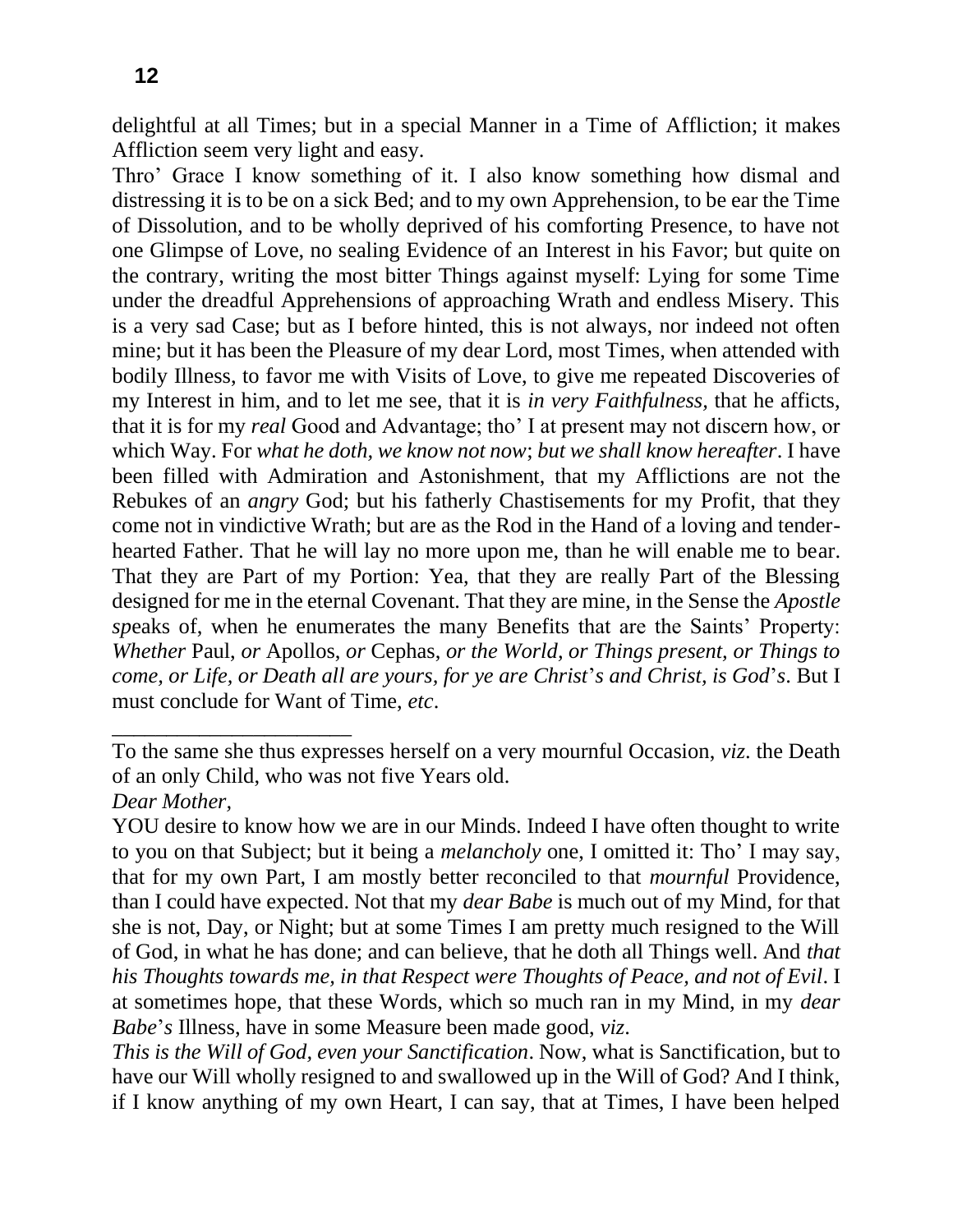\_\_\_\_\_\_\_\_\_\_\_\_\_\_\_\_\_\_\_\_\_\_

delightful at all Times; but in a special Manner in a Time of Affliction; it makes Affliction seem very light and easy.

Thro' Grace I know something of it. I also know something how dismal and distressing it is to be on a sick Bed; and to my own Apprehension, to be ear the Time of Dissolution, and to be wholly deprived of his comforting Presence, to have not one Glimpse of Love, no sealing Evidence of an Interest in his Favor; but quite on the contrary, writing the most bitter Things against myself: Lying for some Time under the dreadful Apprehensions of approaching Wrath and endless Misery. This is a very sad Case; but as I before hinted, this is not always, nor indeed not often mine; but it has been the Pleasure of my dear Lord, most Times, when attended with bodily Illness, to favor me with Visits of Love, to give me repeated Discoveries of my Interest in him, and to let me see, that it is *in very Faithfulness,* that he afficts, that it is for my *real* Good and Advantage; tho' I at present may not discern how, or which Way. For *what he doth, we know not now*; *but we shall know hereafter*. I have been filled with Admiration and Astonishment, that my Afflictions are not the Rebukes of an *angry* God; but his fatherly Chastisements for my Profit, that they come not in vindictive Wrath; but are as the Rod in the Hand of a loving and tenderhearted Father. That he will lay no more upon me, than he will enable me to bear. That they are Part of my Portion: Yea, that they are really Part of the Blessing designed for me in the eternal Covenant. That they are mine, in the Sense the *Apostle sp*eaks of, when he enumerates the many Benefits that are the Saints' Property: *Whether* Paul, *or* Apollos, *or* Cephas, *or the World, or Things present, or Things to come, or Life, or Death all are yours, for ye are Christ*'*s and Christ, is God*'*s*. But I must conclude for Want of Time, *etc*.

To the same she thus expresses herself on a very mournful Occasion, *viz*. the Death of an only Child, who was not five Years old. *Dear Mother,*

YOU desire to know how we are in our Minds. Indeed I have often thought to write to you on that Subject; but it being a *melancholy* one, I omitted it: Tho' I may say, that for my own Part, I am mostly better reconciled to that *mournful* Providence, than I could have expected. Not that my *dear Babe* is much out of my Mind, for that she is not, Day, or Night; but at some Times I am pretty much resigned to the Will of God, in what he has done; and can believe, that he doth all Things well. And *that his Thoughts towards me, in that Respect were Thoughts of Peace, and not of Evil*. I at sometimes hope, that these Words, which so much ran in my Mind, in my *dear Babe*'*s* Illness, have in some Measure been made good, *viz*.

*This is the Will of God, even your Sanctification*. Now, what is Sanctification, but to have our Will wholly resigned to and swallowed up in the Will of God? And I think, if I know anything of my own Heart, I can say, that at Times, I have been helped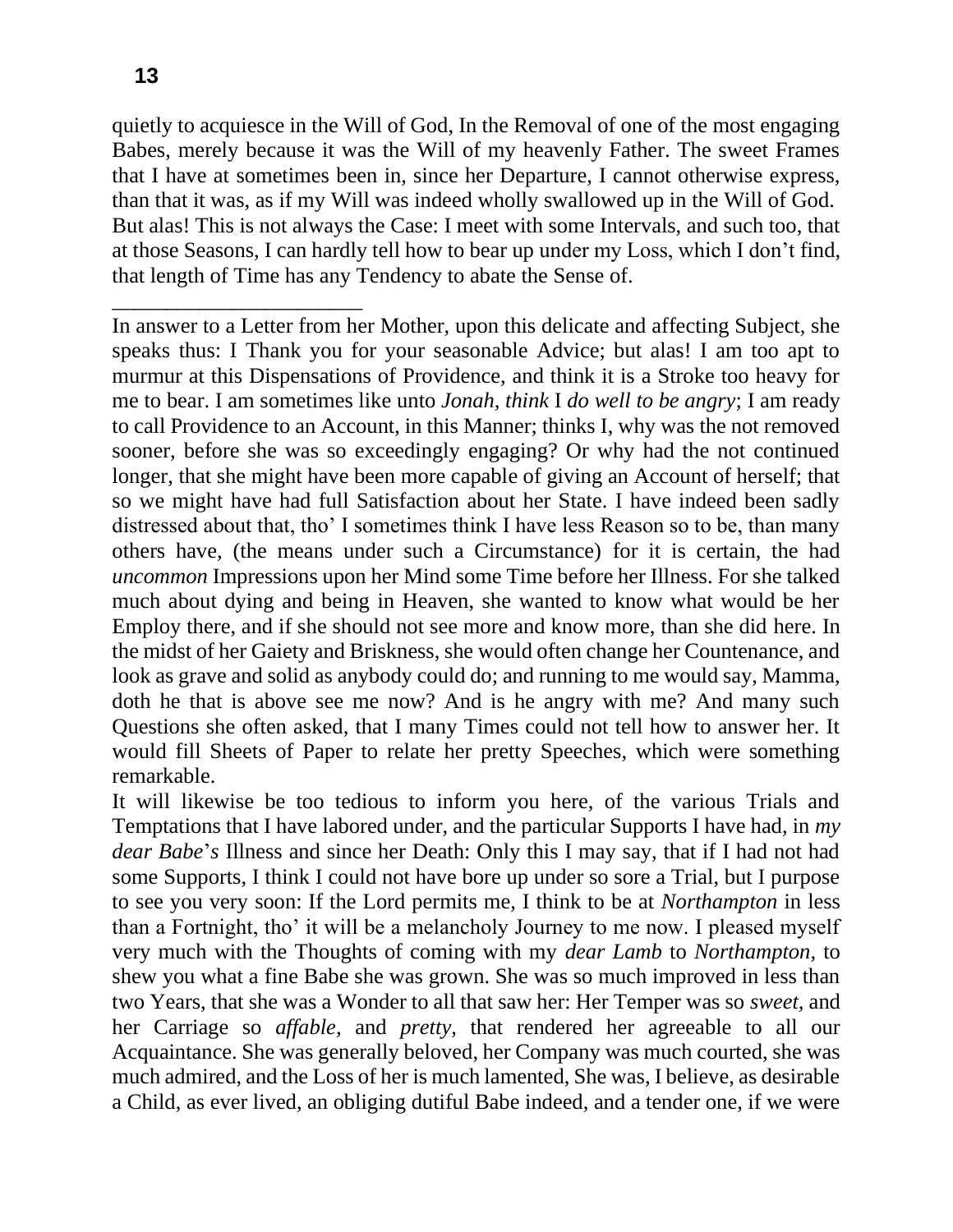quietly to acquiesce in the Will of God, In the Removal of one of the most engaging Babes, merely because it was the Will of my heavenly Father. The sweet Frames that I have at sometimes been in, since her Departure, I cannot otherwise express, than that it was, as if my Will was indeed wholly swallowed up in the Will of God. But alas! This is not always the Case: I meet with some Intervals, and such too, that at those Seasons, I can hardly tell how to bear up under my Loss, which I don't find, that length of Time has any Tendency to abate the Sense of.

In answer to a Letter from her Mother, upon this delicate and affecting Subject, she speaks thus: I Thank you for your seasonable Advice; but alas! I am too apt to murmur at this Dispensations of Providence, and think it is a Stroke too heavy for me to bear. I am sometimes like unto *Jonah, think* I *do well to be angry*; I am ready to call Providence to an Account, in this Manner; thinks I, why was the not removed sooner, before she was so exceedingly engaging? Or why had the not continued longer, that she might have been more capable of giving an Account of herself; that so we might have had full Satisfaction about her State. I have indeed been sadly distressed about that, tho' I sometimes think I have less Reason so to be, than many others have, (the means under such a Circumstance) for it is certain, the had *uncommon* Impressions upon her Mind some Time before her Illness. For she talked much about dying and being in Heaven, she wanted to know what would be her Employ there, and if she should not see more and know more, than she did here. In the midst of her Gaiety and Briskness, she would often change her Countenance, and look as grave and solid as anybody could do; and running to me would say, Mamma, doth he that is above see me now? And is he angry with me? And many such Questions she often asked, that I many Times could not tell how to answer her. It would fill Sheets of Paper to relate her pretty Speeches, which were something remarkable.

It will likewise be too tedious to inform you here, of the various Trials and Temptations that I have labored under, and the particular Supports I have had, in *my dear Babe*'*s* Illness and since her Death: Only this I may say, that if I had not had some Supports, I think I could not have bore up under so sore a Trial, but I purpose to see you very soon: If the Lord permits me, I think to be at *Northampton* in less than a Fortnight, tho' it will be a melancholy Journey to me now. I pleased myself very much with the Thoughts of coming with my *dear Lamb* to *Northampton,* to shew you what a fine Babe she was grown. She was so much improved in less than two Years, that she was a Wonder to all that saw her: Her Temper was so *sweet,* and her Carriage so *affable,* and *pretty,* that rendered her agreeable to all our Acquaintance. She was generally beloved, her Company was much courted, she was much admired, and the Loss of her is much lamented, She was, I believe, as desirable a Child, as ever lived, an obliging dutiful Babe indeed, and a tender one, if we were

\_\_\_\_\_\_\_\_\_\_\_\_\_\_\_\_\_\_\_\_\_\_\_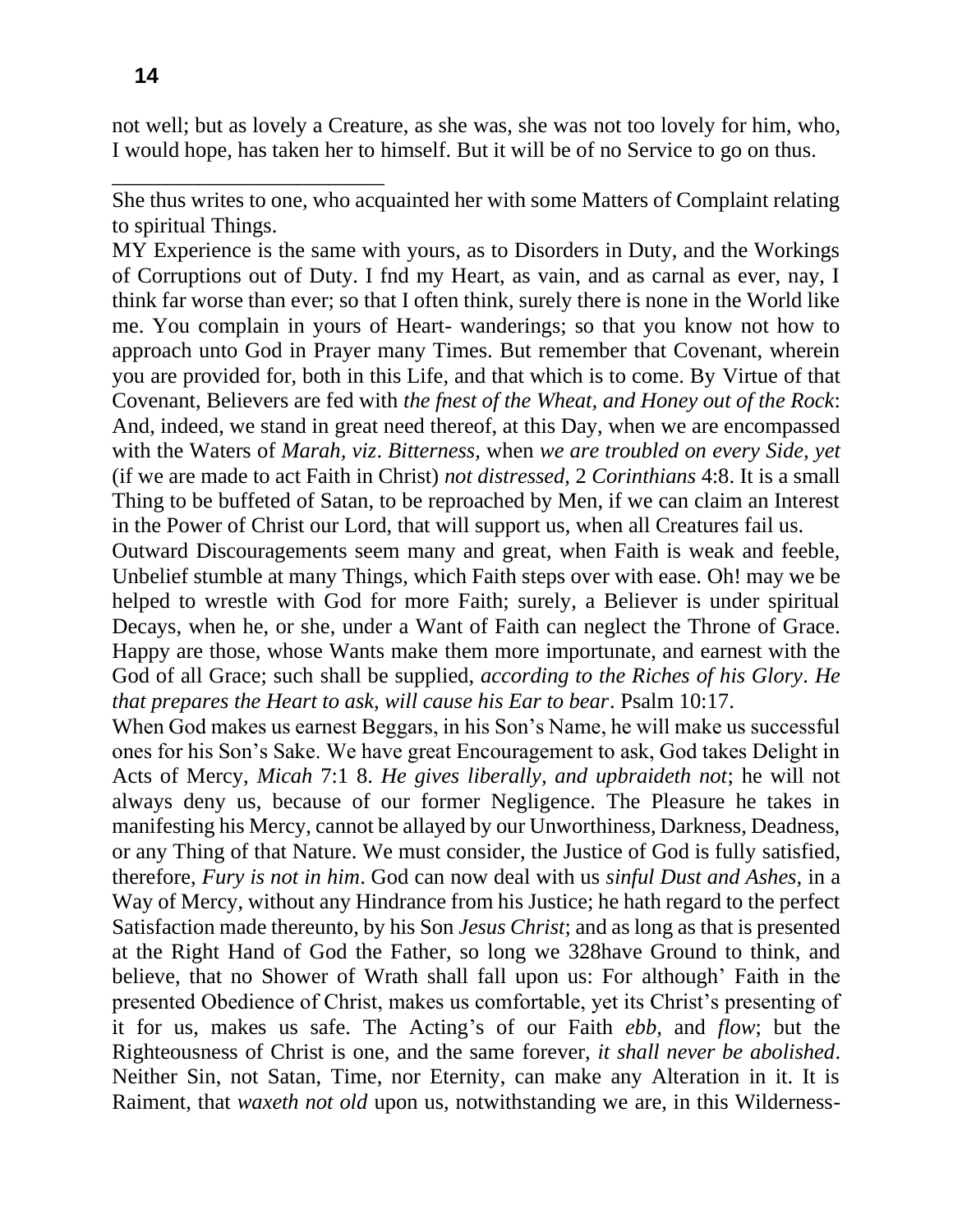not well; but as lovely a Creature, as she was, she was not too lovely for him, who, I would hope, has taken her to himself. But it will be of no Service to go on thus.

She thus writes to one, who acquainted her with some Matters of Complaint relating to spiritual Things.

MY Experience is the same with yours, as to Disorders in Duty, and the Workings of Corruptions out of Duty. I fnd my Heart, as vain, and as carnal as ever, nay, I think far worse than ever; so that I often think, surely there is none in the World like me. You complain in yours of Heart- wanderings; so that you know not how to approach unto God in Prayer many Times. But remember that Covenant, wherein you are provided for, both in this Life, and that which is to come. By Virtue of that Covenant, Believers are fed with *the fnest of the Wheat, and Honey out of the Rock*: And, indeed, we stand in great need thereof, at this Day, when we are encompassed with the Waters of *Marah, viz*. *Bitterness,* when *we are troubled on every Side, yet*  (if we are made to act Faith in Christ) *not distressed,* 2 *Corinthians* 4:8. It is a small Thing to be buffeted of Satan, to be reproached by Men, if we can claim an Interest in the Power of Christ our Lord, that will support us, when all Creatures fail us.

Outward Discouragements seem many and great, when Faith is weak and feeble, Unbelief stumble at many Things, which Faith steps over with ease. Oh! may we be helped to wrestle with God for more Faith; surely, a Believer is under spiritual Decays, when he, or she, under a Want of Faith can neglect the Throne of Grace. Happy are those, whose Wants make them more importunate, and earnest with the God of all Grace; such shall be supplied, *according to the Riches of his Glory*. *He that prepares the Heart to ask, will cause his Ear to bear*. Psalm 10:17.

When God makes us earnest Beggars, in his Son's Name, he will make us successful ones for his Son's Sake. We have great Encouragement to ask, God takes Delight in Acts of Mercy, *Micah* 7:1 8. *He gives liberally, and upbraideth not*; he will not always deny us, because of our former Negligence. The Pleasure he takes in manifesting his Mercy, cannot be allayed by our Unworthiness, Darkness, Deadness, or any Thing of that Nature. We must consider, the Justice of God is fully satisfied, therefore, *Fury is not in him*. God can now deal with us *sinful Dust and Ashes,* in a Way of Mercy, without any Hindrance from his Justice; he hath regard to the perfect Satisfaction made thereunto, by his Son *Jesus Christ*; and as long as that is presented at the Right Hand of God the Father, so long we 328have Ground to think, and believe, that no Shower of Wrath shall fall upon us: For although' Faith in the presented Obedience of Christ, makes us comfortable, yet its Christ's presenting of it for us, makes us safe. The Acting's of our Faith *ebb,* and *flow*; but the Righteousness of Christ is one, and the same forever, *it shall never be abolished*. Neither Sin, not Satan, Time, nor Eternity, can make any Alteration in it. It is Raiment, that *waxeth not old* upon us, notwithstanding we are, in this Wilderness-

\_\_\_\_\_\_\_\_\_\_\_\_\_\_\_\_\_\_\_\_\_\_\_\_\_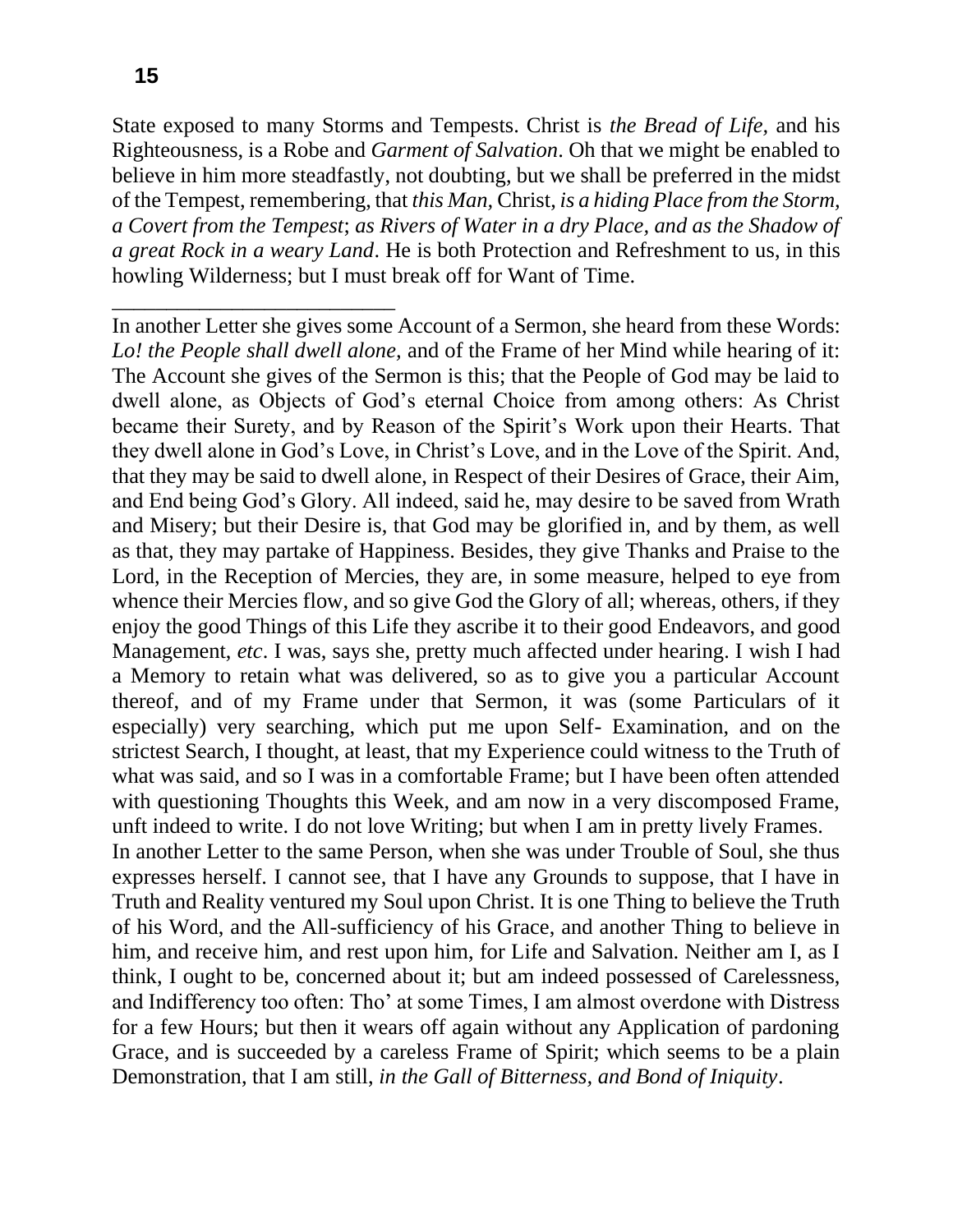\_\_\_\_\_\_\_\_\_\_\_\_\_\_\_\_\_\_\_\_\_\_\_\_\_\_

State exposed to many Storms and Tempests. Christ is *the Bread of Life,* and his Righteousness, is a Robe and *Garment of Salvation*. Oh that we might be enabled to believe in him more steadfastly, not doubting, but we shall be preferred in the midst of the Tempest, remembering, that *this Man,* Christ, *is a hiding Place from the Storm, a Covert from the Tempest*; *as Rivers of Water in a dry Place, and as the Shadow of a great Rock in a weary Land*. He is both Protection and Refreshment to us, in this howling Wilderness; but I must break off for Want of Time.

In another Letter she gives some Account of a Sermon, she heard from these Words: *Lo! the People shall dwell alone,* and of the Frame of her Mind while hearing of it: The Account she gives of the Sermon is this; that the People of God may be laid to dwell alone, as Objects of God's eternal Choice from among others: As Christ became their Surety, and by Reason of the Spirit's Work upon their Hearts. That they dwell alone in God's Love, in Christ's Love, and in the Love of the Spirit. And, that they may be said to dwell alone, in Respect of their Desires of Grace, their Aim, and End being God's Glory. All indeed, said he, may desire to be saved from Wrath and Misery; but their Desire is, that God may be glorified in, and by them, as well as that, they may partake of Happiness. Besides, they give Thanks and Praise to the Lord, in the Reception of Mercies, they are, in some measure, helped to eye from whence their Mercies flow, and so give God the Glory of all; whereas, others, if they enjoy the good Things of this Life they ascribe it to their good Endeavors, and good Management, *etc*. I was, says she, pretty much affected under hearing. I wish I had a Memory to retain what was delivered, so as to give you a particular Account thereof, and of my Frame under that Sermon, it was (some Particulars of it especially) very searching, which put me upon Self- Examination, and on the strictest Search, I thought, at least, that my Experience could witness to the Truth of what was said, and so I was in a comfortable Frame; but I have been often attended with questioning Thoughts this Week, and am now in a very discomposed Frame, unft indeed to write. I do not love Writing; but when I am in pretty lively Frames. In another Letter to the same Person, when she was under Trouble of Soul, she thus expresses herself. I cannot see, that I have any Grounds to suppose, that I have in Truth and Reality ventured my Soul upon Christ. It is one Thing to believe the Truth of his Word, and the All-sufficiency of his Grace, and another Thing to believe in him, and receive him, and rest upon him, for Life and Salvation. Neither am I, as I think, I ought to be, concerned about it; but am indeed possessed of Carelessness, and Indifferency too often: Tho' at some Times, I am almost overdone with Distress for a few Hours; but then it wears off again without any Application of pardoning Grace, and is succeeded by a careless Frame of Spirit; which seems to be a plain Demonstration, that I am still, *in the Gall of Bitterness, and Bond of Iniquity*.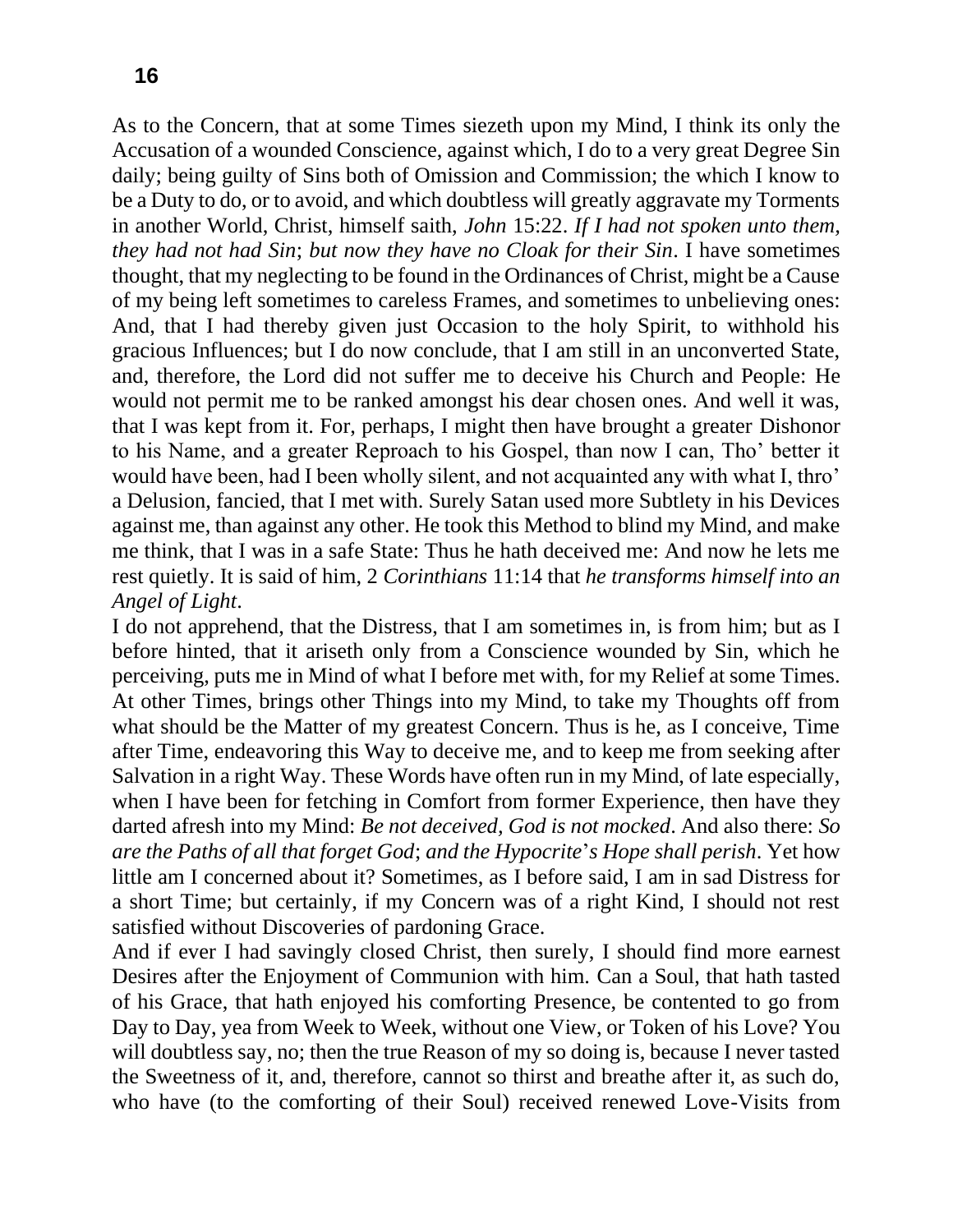As to the Concern, that at some Times siezeth upon my Mind, I think its only the Accusation of a wounded Conscience, against which, I do to a very great Degree Sin daily; being guilty of Sins both of Omission and Commission; the which I know to be a Duty to do, or to avoid, and which doubtless will greatly aggravate my Torments in another World, Christ, himself saith, *John* 15:22. *If I had not spoken unto them, they had not had Sin*; *but now they have no Cloak for their Sin*. I have sometimes thought, that my neglecting to be found in the Ordinances of Christ, might be a Cause of my being left sometimes to careless Frames, and sometimes to unbelieving ones: And, that I had thereby given just Occasion to the holy Spirit, to withhold his gracious Influences; but I do now conclude, that I am still in an unconverted State, and, therefore, the Lord did not suffer me to deceive his Church and People: He would not permit me to be ranked amongst his dear chosen ones. And well it was, that I was kept from it. For, perhaps, I might then have brought a greater Dishonor to his Name, and a greater Reproach to his Gospel, than now I can, Tho' better it would have been, had I been wholly silent, and not acquainted any with what I, thro' a Delusion, fancied, that I met with. Surely Satan used more Subtlety in his Devices against me, than against any other. He took this Method to blind my Mind, and make me think, that I was in a safe State: Thus he hath deceived me: And now he lets me rest quietly. It is said of him, 2 *Corinthians* 11:14 that *he transforms himself into an Angel of Light*.

I do not apprehend, that the Distress, that I am sometimes in, is from him; but as I before hinted, that it ariseth only from a Conscience wounded by Sin, which he perceiving, puts me in Mind of what I before met with, for my Relief at some Times. At other Times, brings other Things into my Mind, to take my Thoughts off from what should be the Matter of my greatest Concern. Thus is he, as I conceive, Time after Time, endeavoring this Way to deceive me, and to keep me from seeking after Salvation in a right Way. These Words have often run in my Mind, of late especially, when I have been for fetching in Comfort from former Experience, then have they darted afresh into my Mind: *Be not deceived, God is not mocked*. And also there: *So are the Paths of all that forget God*; *and the Hypocrite*'*s Hope shall perish*. Yet how little am I concerned about it? Sometimes, as I before said, I am in sad Distress for a short Time; but certainly, if my Concern was of a right Kind, I should not rest satisfied without Discoveries of pardoning Grace.

And if ever I had savingly closed Christ, then surely, I should find more earnest Desires after the Enjoyment of Communion with him. Can a Soul, that hath tasted of his Grace, that hath enjoyed his comforting Presence, be contented to go from Day to Day, yea from Week to Week, without one View, or Token of his Love? You will doubtless say, no; then the true Reason of my so doing is, because I never tasted the Sweetness of it, and, therefore, cannot so thirst and breathe after it, as such do, who have (to the comforting of their Soul) received renewed Love-Visits from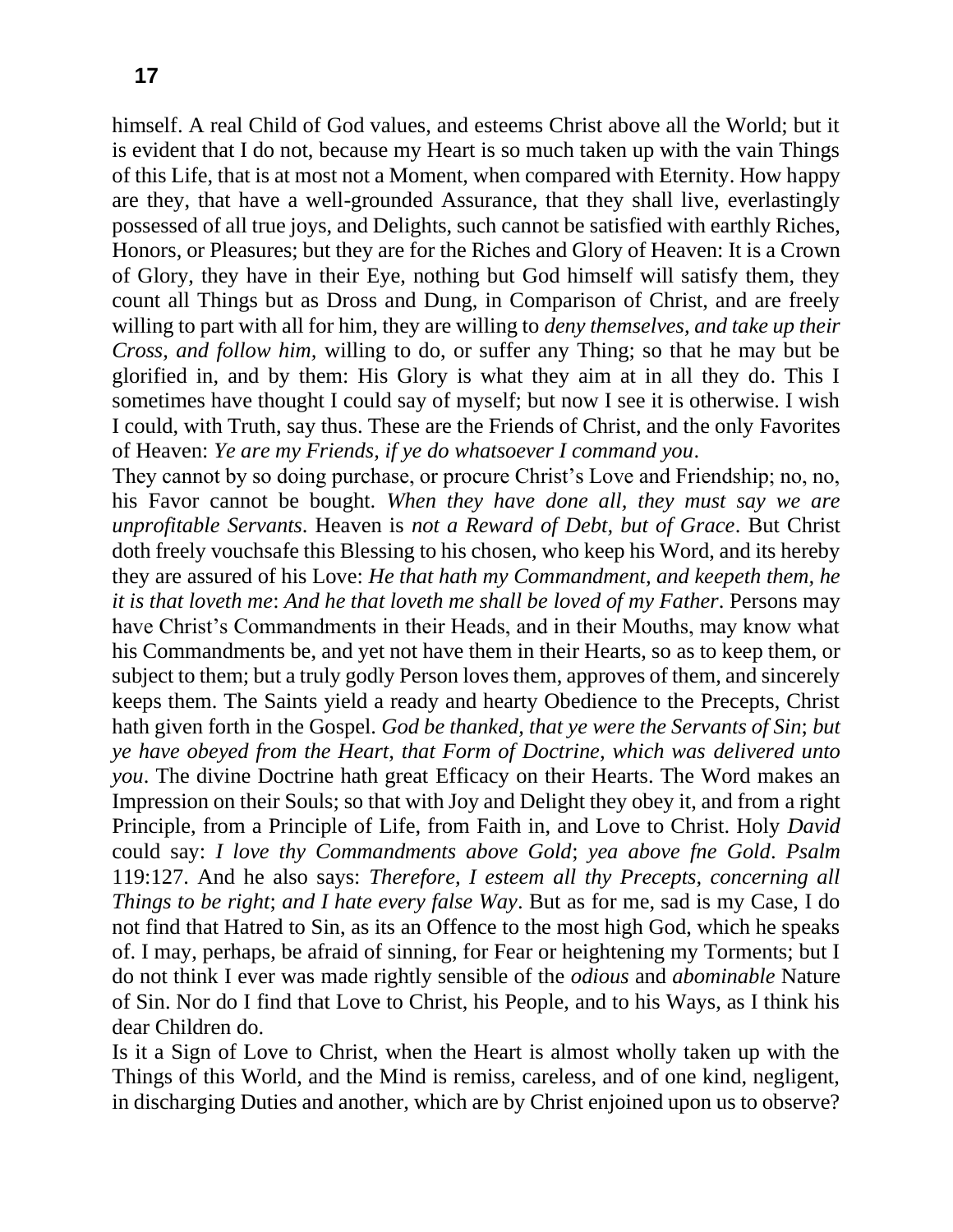himself. A real Child of God values, and esteems Christ above all the World; but it is evident that I do not, because my Heart is so much taken up with the vain Things of this Life, that is at most not a Moment, when compared with Eternity. How happy are they, that have a well-grounded Assurance, that they shall live, everlastingly possessed of all true joys, and Delights, such cannot be satisfied with earthly Riches, Honors, or Pleasures; but they are for the Riches and Glory of Heaven: It is a Crown of Glory, they have in their Eye, nothing but God himself will satisfy them, they count all Things but as Dross and Dung, in Comparison of Christ, and are freely willing to part with all for him, they are willing to *deny themselves, and take up their Cross, and follow him,* willing to do, or suffer any Thing; so that he may but be glorified in, and by them: His Glory is what they aim at in all they do. This I sometimes have thought I could say of myself; but now I see it is otherwise. I wish I could, with Truth, say thus. These are the Friends of Christ, and the only Favorites of Heaven: *Ye are my Friends, if ye do whatsoever I command you*.

They cannot by so doing purchase, or procure Christ's Love and Friendship; no, no, his Favor cannot be bought. *When they have done all, they must say we are unprofitable Servants*. Heaven is *not a Reward of Debt, but of Grace*. But Christ doth freely vouchsafe this Blessing to his chosen, who keep his Word, and its hereby they are assured of his Love: *He that hath my Commandment, and keepeth them, he it is that loveth me*: *And he that loveth me shall be loved of my Father*. Persons may have Christ's Commandments in their Heads, and in their Mouths, may know what his Commandments be, and yet not have them in their Hearts, so as to keep them, or subject to them; but a truly godly Person loves them, approves of them, and sincerely keeps them. The Saints yield a ready and hearty Obedience to the Precepts, Christ hath given forth in the Gospel. *God be thanked, that ye were the Servants of Sin*; *but ye have obeyed from the Heart, that Form of Doctrine, which was delivered unto you*. The divine Doctrine hath great Efficacy on their Hearts. The Word makes an Impression on their Souls; so that with Joy and Delight they obey it, and from a right Principle, from a Principle of Life, from Faith in, and Love to Christ. Holy *David* could say: *I love thy Commandments above Gold*; *yea above fne Gold*. *Psalm*  119:127. And he also says: *Therefore, I esteem all thy Precepts, concerning all Things to be right*; *and I hate every false Way*. But as for me, sad is my Case, I do not find that Hatred to Sin, as its an Offence to the most high God, which he speaks of. I may, perhaps, be afraid of sinning, for Fear or heightening my Torments; but I do not think I ever was made rightly sensible of the *odious* and *abominable* Nature of Sin. Nor do I find that Love to Christ, his People, and to his Ways, as I think his dear Children do.

Is it a Sign of Love to Christ, when the Heart is almost wholly taken up with the Things of this World, and the Mind is remiss, careless, and of one kind, negligent, in discharging Duties and another, which are by Christ enjoined upon us to observe?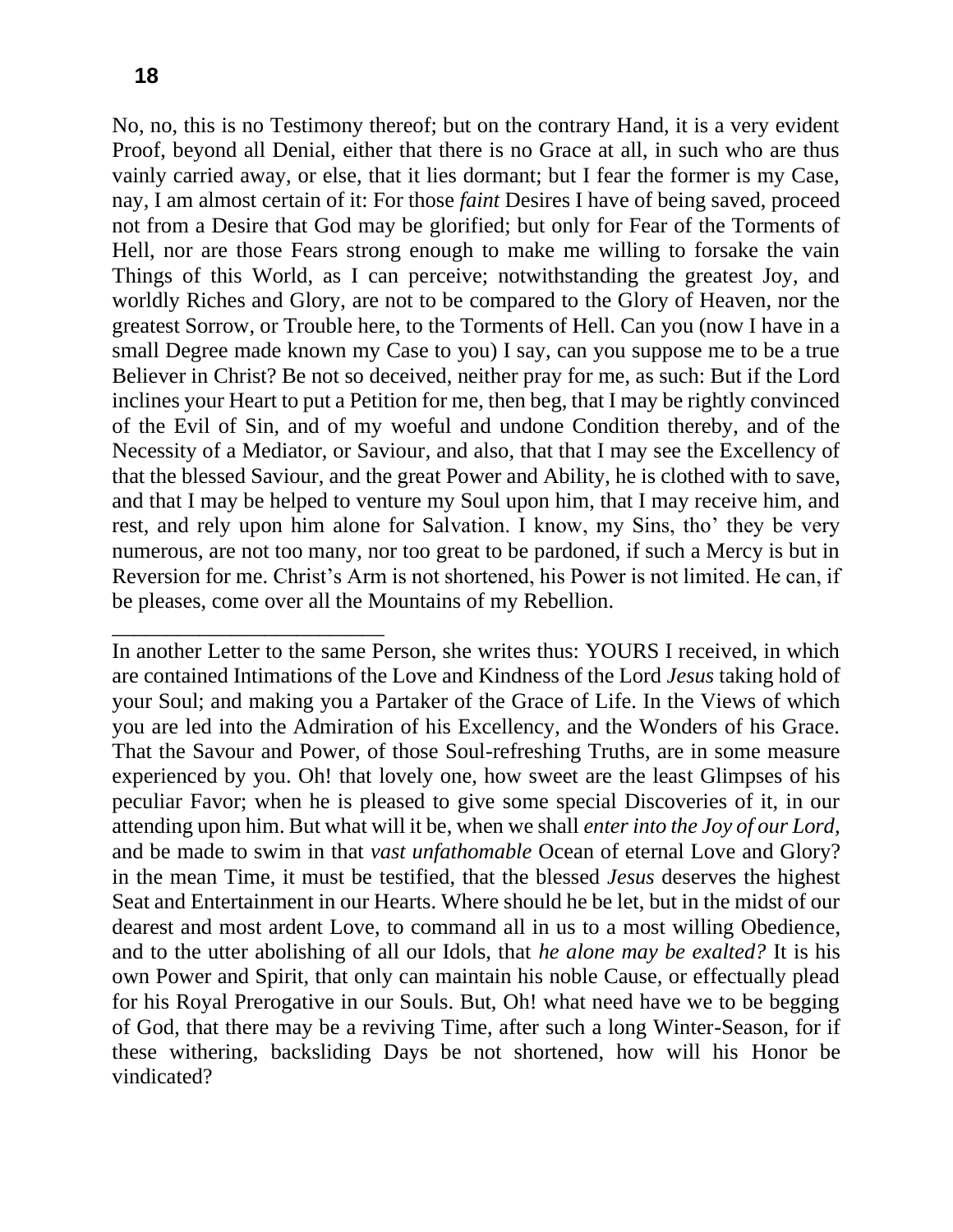\_\_\_\_\_\_\_\_\_\_\_\_\_\_\_\_\_\_\_\_\_\_\_\_\_

No, no, this is no Testimony thereof; but on the contrary Hand, it is a very evident Proof, beyond all Denial, either that there is no Grace at all, in such who are thus vainly carried away, or else, that it lies dormant; but I fear the former is my Case, nay, I am almost certain of it: For those *faint* Desires I have of being saved, proceed not from a Desire that God may be glorified; but only for Fear of the Torments of Hell, nor are those Fears strong enough to make me willing to forsake the vain Things of this World, as I can perceive; notwithstanding the greatest Joy, and worldly Riches and Glory, are not to be compared to the Glory of Heaven, nor the greatest Sorrow, or Trouble here, to the Torments of Hell. Can you (now I have in a small Degree made known my Case to you) I say, can you suppose me to be a true Believer in Christ? Be not so deceived, neither pray for me, as such: But if the Lord inclines your Heart to put a Petition for me, then beg, that I may be rightly convinced of the Evil of Sin, and of my woeful and undone Condition thereby, and of the Necessity of a Mediator, or Saviour, and also, that that I may see the Excellency of that the blessed Saviour, and the great Power and Ability, he is clothed with to save, and that I may be helped to venture my Soul upon him, that I may receive him, and rest, and rely upon him alone for Salvation. I know, my Sins, tho' they be very numerous, are not too many, nor too great to be pardoned, if such a Mercy is but in Reversion for me. Christ's Arm is not shortened, his Power is not limited. He can, if be pleases, come over all the Mountains of my Rebellion.

In another Letter to the same Person, she writes thus: YOURS I received, in which are contained Intimations of the Love and Kindness of the Lord *Jesus* taking hold of your Soul; and making you a Partaker of the Grace of Life. In the Views of which you are led into the Admiration of his Excellency, and the Wonders of his Grace. That the Savour and Power, of those Soul-refreshing Truths, are in some measure experienced by you. Oh! that lovely one, how sweet are the least Glimpses of his peculiar Favor; when he is pleased to give some special Discoveries of it, in our attending upon him. But what will it be, when we shall *enter into the Joy of our Lord,*  and be made to swim in that *vast unfathomable* Ocean of eternal Love and Glory? in the mean Time, it must be testified, that the blessed *Jesus* deserves the highest Seat and Entertainment in our Hearts. Where should he be let, but in the midst of our dearest and most ardent Love, to command all in us to a most willing Obedience, and to the utter abolishing of all our Idols, that *he alone may be exalted?* It is his own Power and Spirit, that only can maintain his noble Cause, or effectually plead for his Royal Prerogative in our Souls. But, Oh! what need have we to be begging of God, that there may be a reviving Time, after such a long Winter-Season, for if these withering, backsliding Days be not shortened, how will his Honor be vindicated?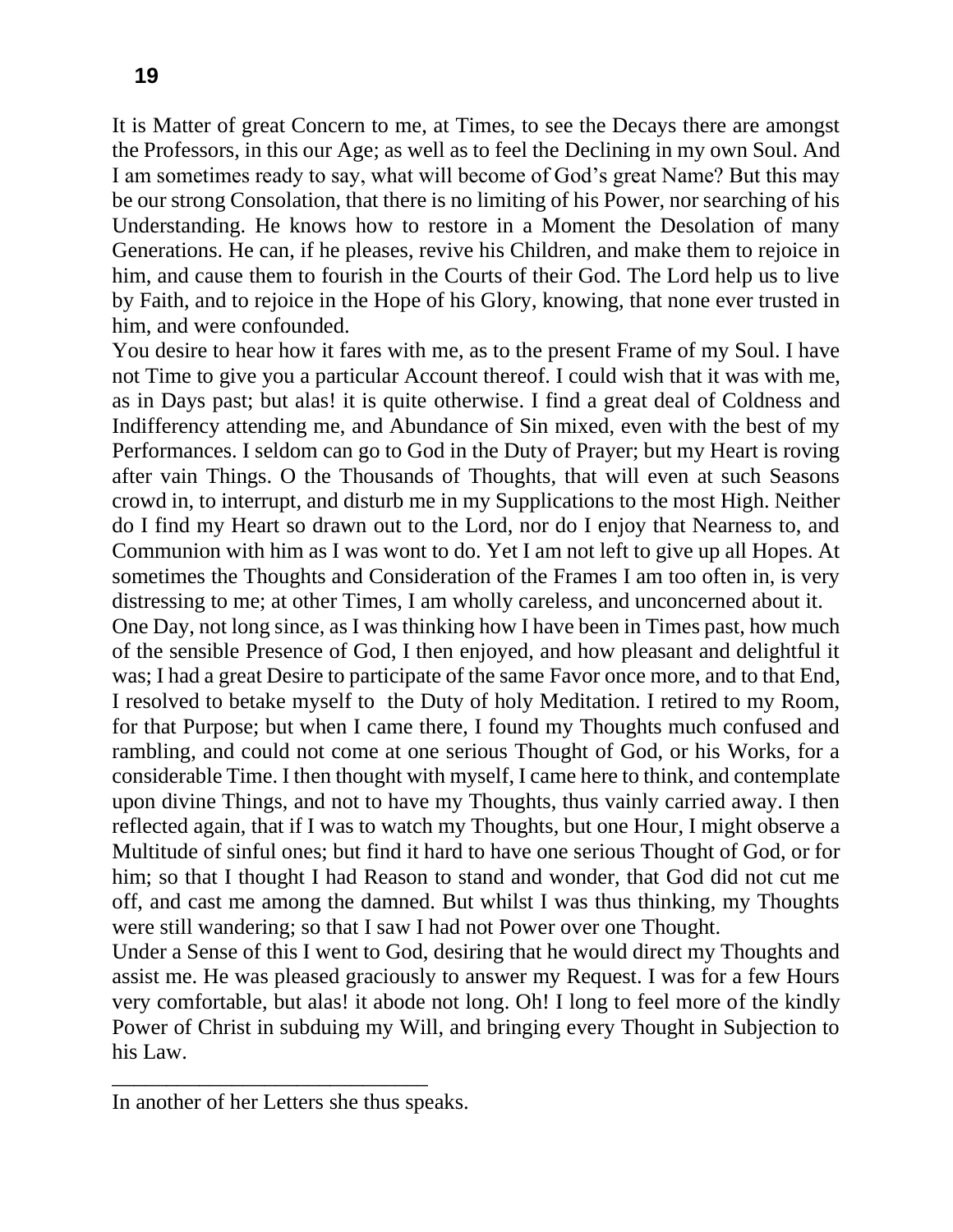It is Matter of great Concern to me, at Times, to see the Decays there are amongst the Professors, in this our Age; as well as to feel the Declining in my own Soul. And I am sometimes ready to say, what will become of God's great Name? But this may be our strong Consolation, that there is no limiting of his Power, nor searching of his Understanding. He knows how to restore in a Moment the Desolation of many Generations. He can, if he pleases, revive his Children, and make them to rejoice in him, and cause them to fourish in the Courts of their God. The Lord help us to live by Faith, and to rejoice in the Hope of his Glory, knowing, that none ever trusted in him, and were confounded.

You desire to hear how it fares with me, as to the present Frame of my Soul. I have not Time to give you a particular Account thereof. I could wish that it was with me, as in Days past; but alas! it is quite otherwise. I find a great deal of Coldness and Indifferency attending me, and Abundance of Sin mixed, even with the best of my Performances. I seldom can go to God in the Duty of Prayer; but my Heart is roving after vain Things. O the Thousands of Thoughts, that will even at such Seasons crowd in, to interrupt, and disturb me in my Supplications to the most High. Neither do I find my Heart so drawn out to the Lord, nor do I enjoy that Nearness to, and Communion with him as I was wont to do. Yet I am not left to give up all Hopes. At sometimes the Thoughts and Consideration of the Frames I am too often in, is very distressing to me; at other Times, I am wholly careless, and unconcerned about it.

One Day, not long since, as I was thinking how I have been in Times past, how much of the sensible Presence of God, I then enjoyed, and how pleasant and delightful it was; I had a great Desire to participate of the same Favor once more, and to that End, I resolved to betake myself to the Duty of holy Meditation. I retired to my Room, for that Purpose; but when I came there, I found my Thoughts much confused and rambling, and could not come at one serious Thought of God, or his Works, for a considerable Time. I then thought with myself, I came here to think, and contemplate upon divine Things, and not to have my Thoughts, thus vainly carried away. I then reflected again, that if I was to watch my Thoughts, but one Hour, I might observe a Multitude of sinful ones; but find it hard to have one serious Thought of God, or for him; so that I thought I had Reason to stand and wonder, that God did not cut me off, and cast me among the damned. But whilst I was thus thinking, my Thoughts were still wandering; so that I saw I had not Power over one Thought.

Under a Sense of this I went to God, desiring that he would direct my Thoughts and assist me. He was pleased graciously to answer my Request. I was for a few Hours very comfortable, but alas! it abode not long. Oh! I long to feel more of the kindly Power of Christ in subduing my Will, and bringing every Thought in Subjection to his Law.

\_\_\_\_\_\_\_\_\_\_\_\_\_\_\_\_\_\_\_\_\_\_\_\_\_\_\_\_\_

In another of her Letters she thus speaks.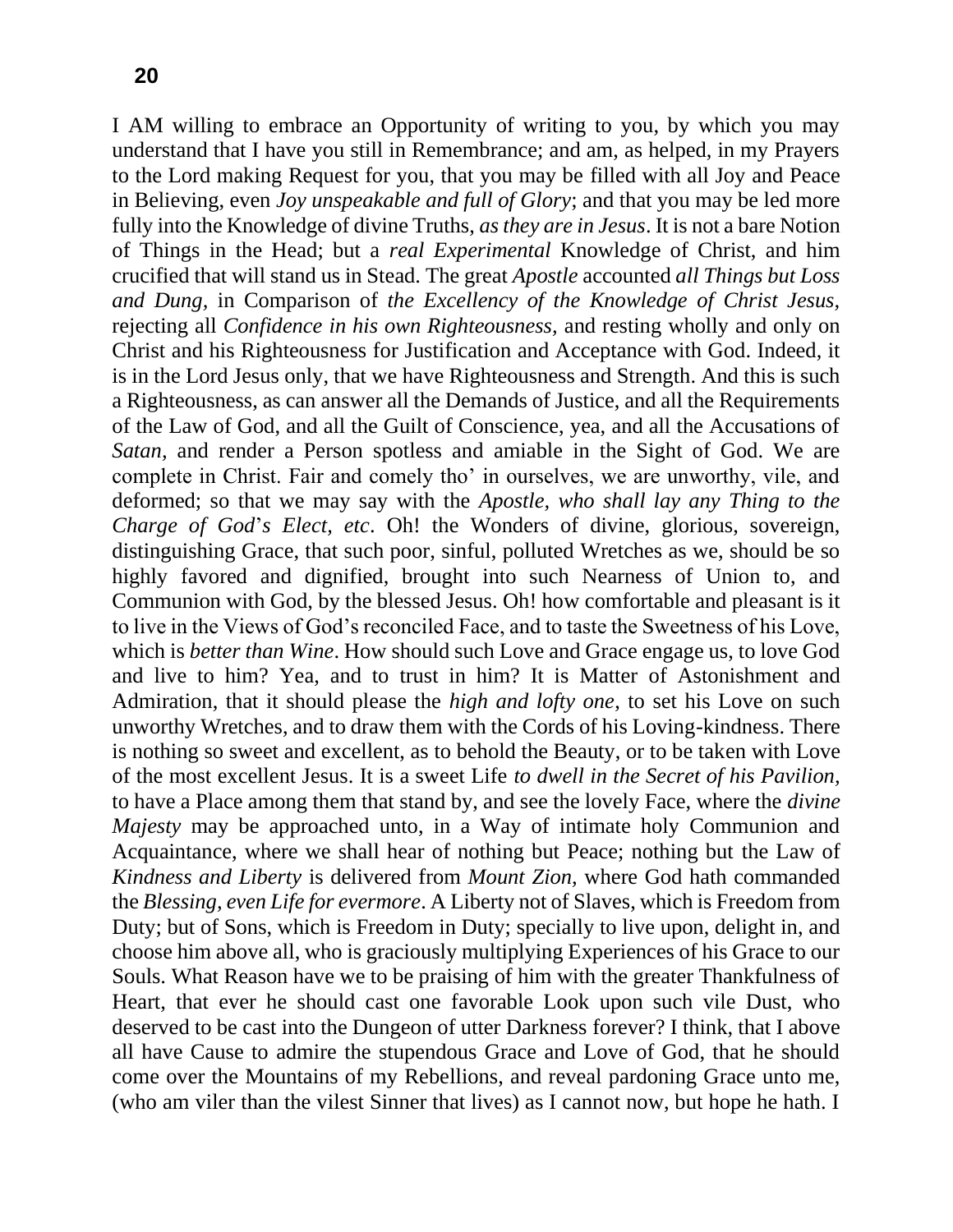I AM willing to embrace an Opportunity of writing to you, by which you may understand that I have you still in Remembrance; and am, as helped, in my Prayers to the Lord making Request for you, that you may be filled with all Joy and Peace in Believing, even *Joy unspeakable and full of Glory*; and that you may be led more fully into the Knowledge of divine Truths, *as they are in Jesus*. It is not a bare Notion of Things in the Head; but a *real Experimental* Knowledge of Christ, and him crucified that will stand us in Stead. The great *Apostle* accounted *all Things but Loss and Dung,* in Comparison of *the Excellency of the Knowledge of Christ Jesus,*  rejecting all *Confidence in his own Righteousness,* and resting wholly and only on Christ and his Righteousness for Justification and Acceptance with God. Indeed, it is in the Lord Jesus only, that we have Righteousness and Strength. And this is such a Righteousness, as can answer all the Demands of Justice, and all the Requirements of the Law of God, and all the Guilt of Conscience, yea, and all the Accusations of *Satan,* and render a Person spotless and amiable in the Sight of God. We are complete in Christ. Fair and comely tho' in ourselves, we are unworthy, vile, and deformed; so that we may say with the *Apostle, who shall lay any Thing to the Charge of God*'*s Elect, etc*. Oh! the Wonders of divine, glorious, sovereign, distinguishing Grace, that such poor, sinful, polluted Wretches as we, should be so highly favored and dignified, brought into such Nearness of Union to, and Communion with God, by the blessed Jesus. Oh! how comfortable and pleasant is it to live in the Views of God's reconciled Face, and to taste the Sweetness of his Love, which is *better than Wine*. How should such Love and Grace engage us, to love God and live to him? Yea, and to trust in him? It is Matter of Astonishment and Admiration, that it should please the *high and lofty one*, to set his Love on such unworthy Wretches, and to draw them with the Cords of his Loving-kindness. There is nothing so sweet and excellent, as to behold the Beauty, or to be taken with Love of the most excellent Jesus. It is a sweet Life *to dwell in the Secret of his Pavilion,*  to have a Place among them that stand by, and see the lovely Face, where the *divine Majesty* may be approached unto, in a Way of intimate holy Communion and Acquaintance, where we shall hear of nothing but Peace; nothing but the Law of *Kindness and Liberty* is delivered from *Mount Zion,* where God hath commanded the *Blessing, even Life for evermore*. A Liberty not of Slaves, which is Freedom from Duty; but of Sons, which is Freedom in Duty; specially to live upon, delight in, and choose him above all, who is graciously multiplying Experiences of his Grace to our Souls. What Reason have we to be praising of him with the greater Thankfulness of Heart, that ever he should cast one favorable Look upon such vile Dust, who deserved to be cast into the Dungeon of utter Darkness forever? I think, that I above all have Cause to admire the stupendous Grace and Love of God, that he should come over the Mountains of my Rebellions, and reveal pardoning Grace unto me, (who am viler than the vilest Sinner that lives) as I cannot now, but hope he hath. I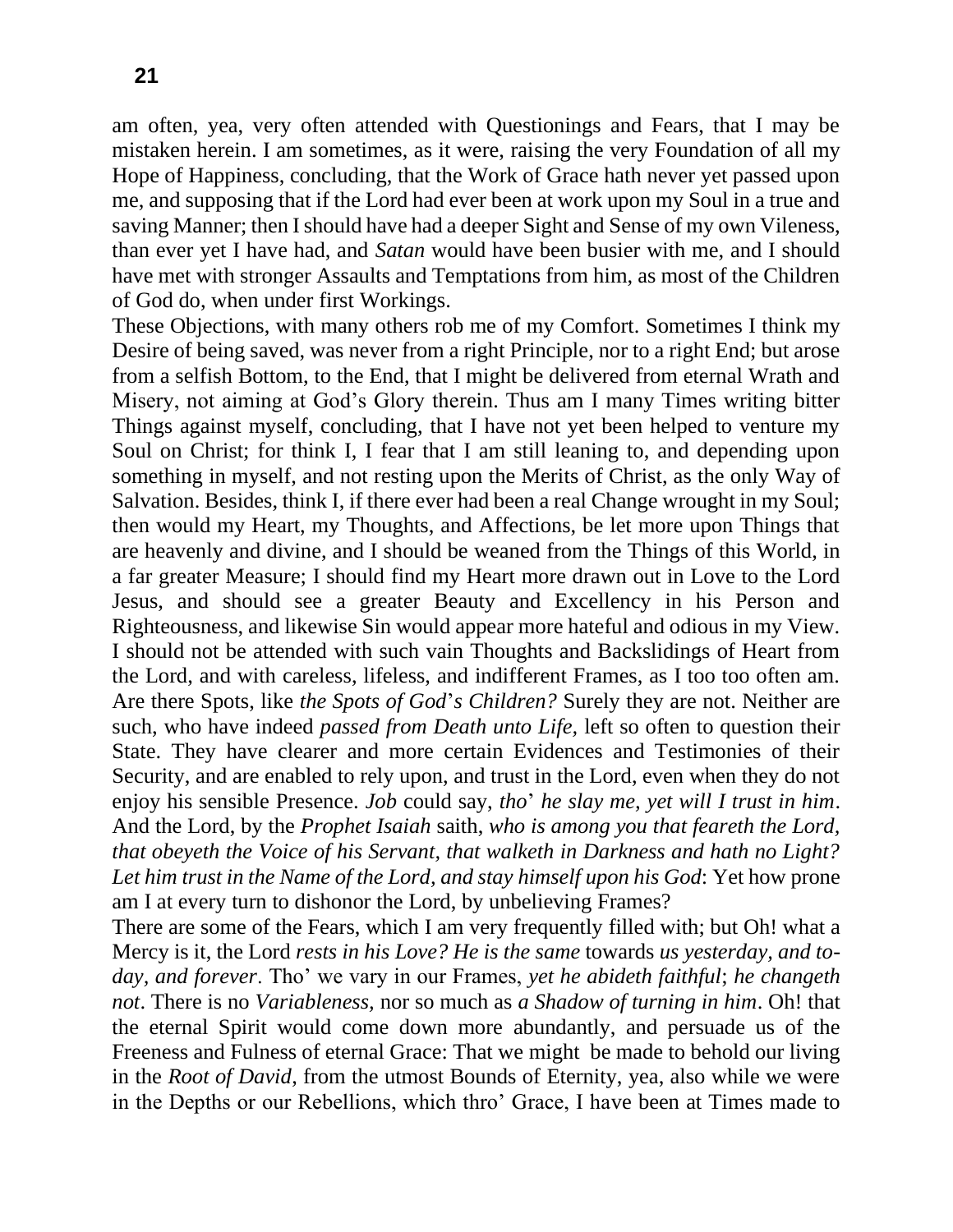am often, yea, very often attended with Questionings and Fears, that I may be mistaken herein. I am sometimes, as it were, raising the very Foundation of all my Hope of Happiness, concluding, that the Work of Grace hath never yet passed upon me, and supposing that if the Lord had ever been at work upon my Soul in a true and saving Manner; then I should have had a deeper Sight and Sense of my own Vileness, than ever yet I have had, and *Satan* would have been busier with me, and I should have met with stronger Assaults and Temptations from him, as most of the Children of God do, when under first Workings.

These Objections, with many others rob me of my Comfort. Sometimes I think my Desire of being saved, was never from a right Principle, nor to a right End; but arose from a selfish Bottom, to the End, that I might be delivered from eternal Wrath and Misery, not aiming at God's Glory therein. Thus am I many Times writing bitter Things against myself, concluding, that I have not yet been helped to venture my Soul on Christ; for think I, I fear that I am still leaning to, and depending upon something in myself, and not resting upon the Merits of Christ, as the only Way of Salvation. Besides, think I, if there ever had been a real Change wrought in my Soul; then would my Heart, my Thoughts, and Affections, be let more upon Things that are heavenly and divine, and I should be weaned from the Things of this World, in a far greater Measure; I should find my Heart more drawn out in Love to the Lord Jesus, and should see a greater Beauty and Excellency in his Person and Righteousness, and likewise Sin would appear more hateful and odious in my View. I should not be attended with such vain Thoughts and Backslidings of Heart from the Lord, and with careless, lifeless, and indifferent Frames, as I too too often am. Are there Spots, like *the Spots of God*'*s Children?* Surely they are not. Neither are such, who have indeed *passed from Death unto Life,* left so often to question their State. They have clearer and more certain Evidences and Testimonies of their Security, and are enabled to rely upon, and trust in the Lord, even when they do not enjoy his sensible Presence. *Job* could say, *tho*' *he slay me, yet will I trust in him*. And the Lord, by the *Prophet Isaiah* saith, *who is among you that feareth the Lord, that obeyeth the Voice of his Servant, that walketh in Darkness and hath no Light? Let him trust in the Name of the Lord, and stay himself upon his God*: Yet how prone am I at every turn to dishonor the Lord, by unbelieving Frames?

There are some of the Fears, which I am very frequently filled with; but Oh! what a Mercy is it, the Lord *rests in his Love? He is the same* towards *us yesterday, and today, and forever*. Tho' we vary in our Frames, *yet he abideth faithful*; *he changeth not*. There is no *Variableness,* nor so much as *a Shadow of turning in him*. Oh! that the eternal Spirit would come down more abundantly, and persuade us of the Freeness and Fulness of eternal Grace: That we might be made to behold our living in the *Root of David*, from the utmost Bounds of Eternity, yea, also while we were in the Depths or our Rebellions, which thro' Grace, I have been at Times made to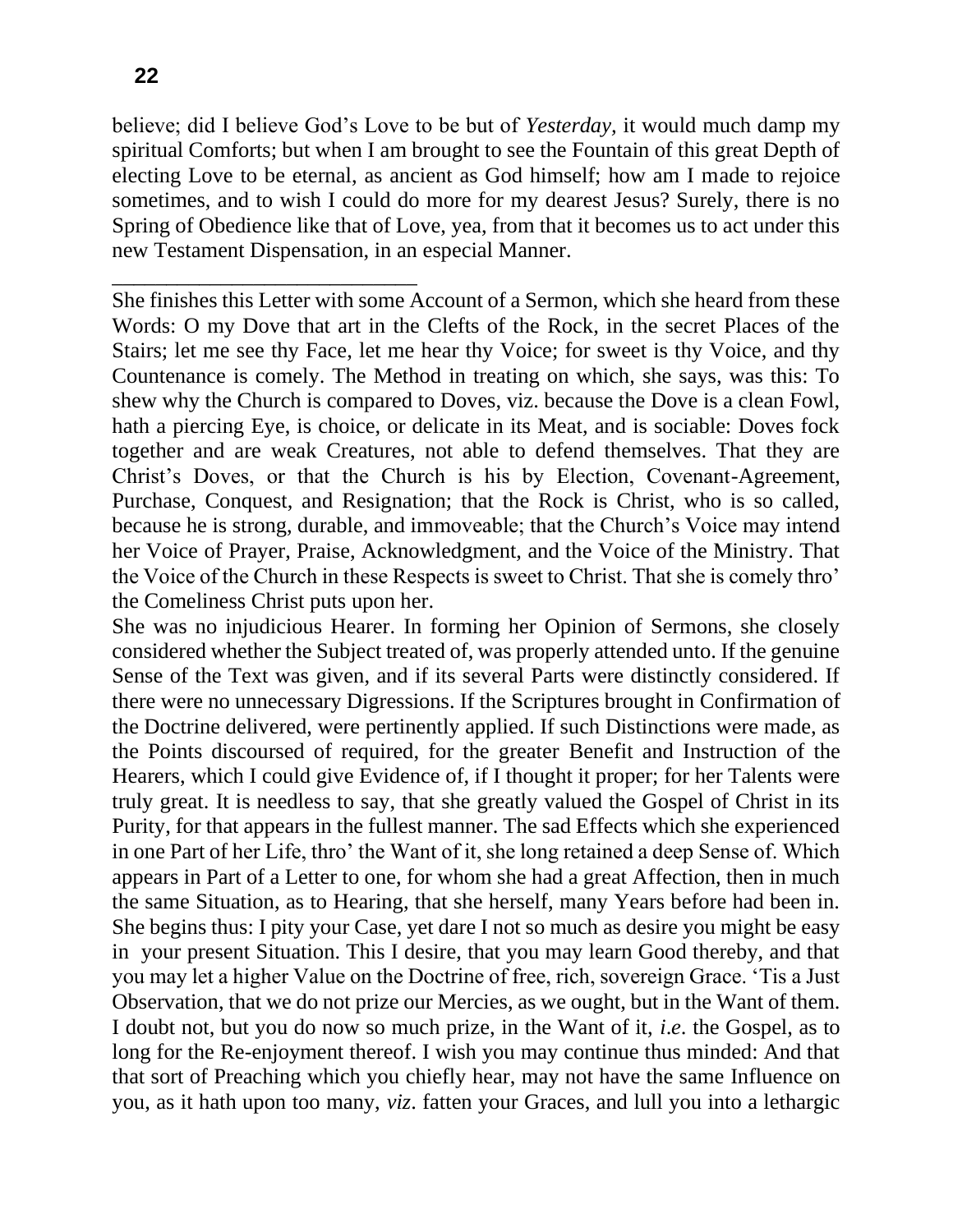believe; did I believe God's Love to be but of *Yesterday,* it would much damp my spiritual Comforts; but when I am brought to see the Fountain of this great Depth of electing Love to be eternal, as ancient as God himself; how am I made to rejoice sometimes, and to wish I could do more for my dearest Jesus? Surely, there is no Spring of Obedience like that of Love, yea, from that it becomes us to act under this new Testament Dispensation, in an especial Manner.

She finishes this Letter with some Account of a Sermon, which she heard from these Words: O my Dove that art in the Clefts of the Rock, in the secret Places of the Stairs; let me see thy Face, let me hear thy Voice; for sweet is thy Voice, and thy Countenance is comely. The Method in treating on which, she says, was this: To shew why the Church is compared to Doves, viz. because the Dove is a clean Fowl, hath a piercing Eye, is choice, or delicate in its Meat, and is sociable: Doves fock together and are weak Creatures, not able to defend themselves. That they are Christ's Doves, or that the Church is his by Election, Covenant-Agreement, Purchase, Conquest, and Resignation; that the Rock is Christ, who is so called, because he is strong, durable, and immoveable; that the Church's Voice may intend her Voice of Prayer, Praise, Acknowledgment, and the Voice of the Ministry. That the Voice of the Church in these Respects is sweet to Christ. That she is comely thro' the Comeliness Christ puts upon her.

She was no injudicious Hearer. In forming her Opinion of Sermons, she closely considered whether the Subject treated of, was properly attended unto. If the genuine Sense of the Text was given, and if its several Parts were distinctly considered. If there were no unnecessary Digressions. If the Scriptures brought in Confirmation of the Doctrine delivered, were pertinently applied. If such Distinctions were made, as the Points discoursed of required, for the greater Benefit and Instruction of the Hearers, which I could give Evidence of, if I thought it proper; for her Talents were truly great. It is needless to say, that she greatly valued the Gospel of Christ in its Purity, for that appears in the fullest manner. The sad Effects which she experienced in one Part of her Life, thro' the Want of it, she long retained a deep Sense of. Which appears in Part of a Letter to one, for whom she had a great Affection, then in much the same Situation, as to Hearing, that she herself, many Years before had been in. She begins thus: I pity your Case, yet dare I not so much as desire you might be easy in your present Situation. This I desire, that you may learn Good thereby, and that you may let a higher Value on the Doctrine of free, rich, sovereign Grace. 'Tis a Just Observation, that we do not prize our Mercies, as we ought, but in the Want of them. I doubt not, but you do now so much prize, in the Want of it, *i*.*e*. the Gospel, as to long for the Re-enjoyment thereof. I wish you may continue thus minded: And that that sort of Preaching which you chiefly hear, may not have the same Influence on you, as it hath upon too many, *viz*. fatten your Graces, and lull you into a lethargic

\_\_\_\_\_\_\_\_\_\_\_\_\_\_\_\_\_\_\_\_\_\_\_\_\_\_\_\_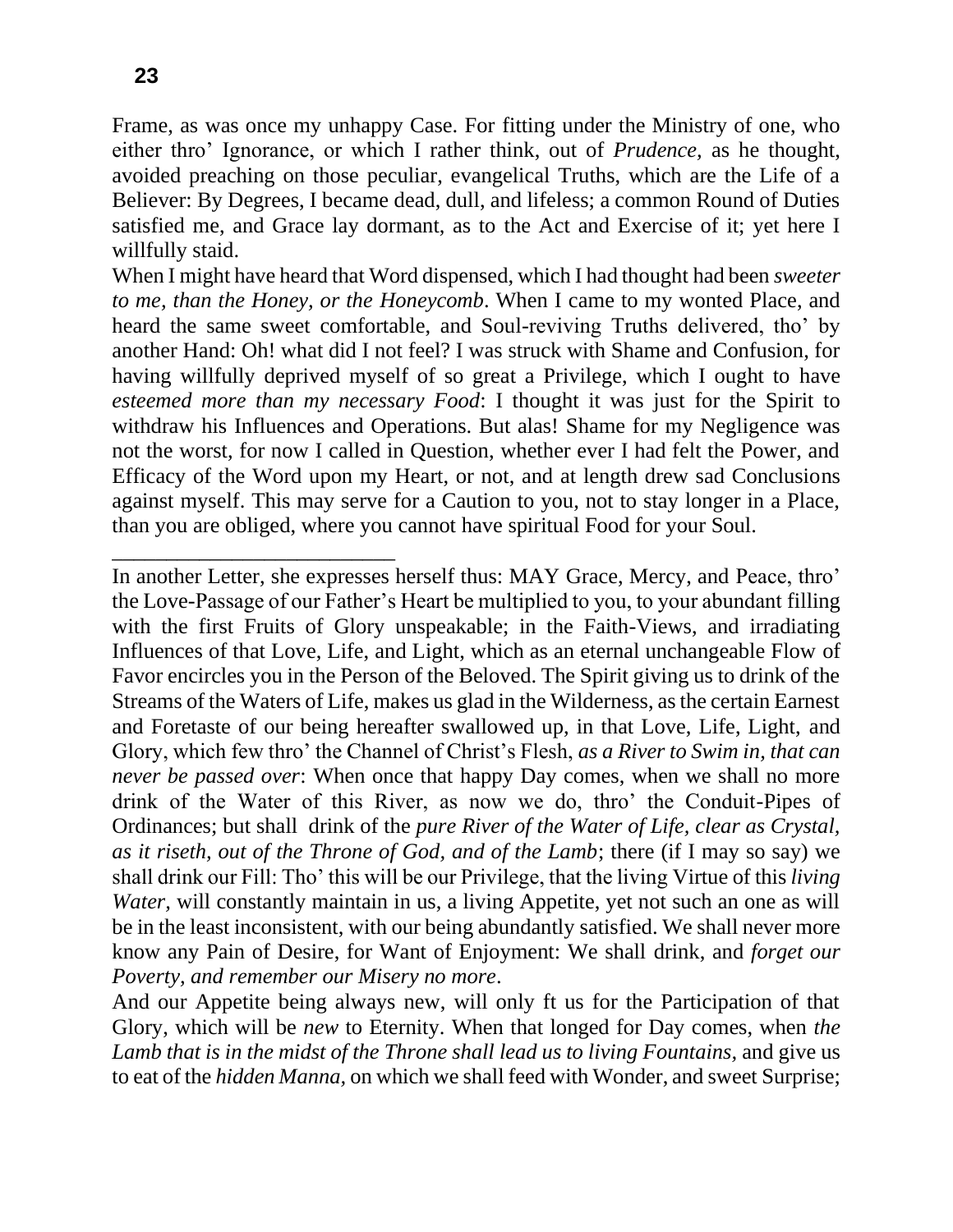Frame, as was once my unhappy Case. For fitting under the Ministry of one, who either thro' Ignorance, or which I rather think, out of *Prudence,* as he thought, avoided preaching on those peculiar, evangelical Truths, which are the Life of a Believer: By Degrees, I became dead, dull, and lifeless; a common Round of Duties satisfied me, and Grace lay dormant, as to the Act and Exercise of it; yet here I willfully staid.

When I might have heard that Word dispensed, which I had thought had been *sweeter to me, than the Honey, or the Honeycomb*. When I came to my wonted Place, and heard the same sweet comfortable, and Soul-reviving Truths delivered, tho' by another Hand: Oh! what did I not feel? I was struck with Shame and Confusion, for having willfully deprived myself of so great a Privilege, which I ought to have *esteemed more than my necessary Food*: I thought it was just for the Spirit to withdraw his Influences and Operations. But alas! Shame for my Negligence was not the worst, for now I called in Question, whether ever I had felt the Power, and Efficacy of the Word upon my Heart, or not, and at length drew sad Conclusions against myself. This may serve for a Caution to you, not to stay longer in a Place, than you are obliged, where you cannot have spiritual Food for your Soul.

In another Letter, she expresses herself thus: MAY Grace, Mercy, and Peace, thro' the Love-Passage of our Father's Heart be multiplied to you, to your abundant filling with the first Fruits of Glory unspeakable; in the Faith-Views, and irradiating Influences of that Love, Life, and Light, which as an eternal unchangeable Flow of Favor encircles you in the Person of the Beloved. The Spirit giving us to drink of the Streams of the Waters of Life, makes us glad in the Wilderness, as the certain Earnest and Foretaste of our being hereafter swallowed up, in that Love, Life, Light, and Glory, which few thro' the Channel of Christ's Flesh, *as a River to Swim in, that can never be passed over*: When once that happy Day comes, when we shall no more drink of the Water of this River, as now we do, thro' the Conduit-Pipes of Ordinances; but shall drink of the *pure River of the Water of Life, clear as Crystal, as it riseth, out of the Throne of God, and of the Lamb*; there (if I may so say) we shall drink our Fill: Tho' this will be our Privilege, that the living Virtue of this *living Water*, will constantly maintain in us, a living Appetite, yet not such an one as will be in the least inconsistent, with our being abundantly satisfied. We shall never more know any Pain of Desire, for Want of Enjoyment: We shall drink, and *forget our Poverty, and remember our Misery no more*.

And our Appetite being always new, will only ft us for the Participation of that Glory, which will be *new* to Eternity. When that longed for Day comes, when *the*  Lamb that is in the midst of the Throne shall lead us to living Fountains, and give us to eat of the *hidden Manna,* on which we shall feed with Wonder, and sweet Surprise;

\_\_\_\_\_\_\_\_\_\_\_\_\_\_\_\_\_\_\_\_\_\_\_\_\_\_